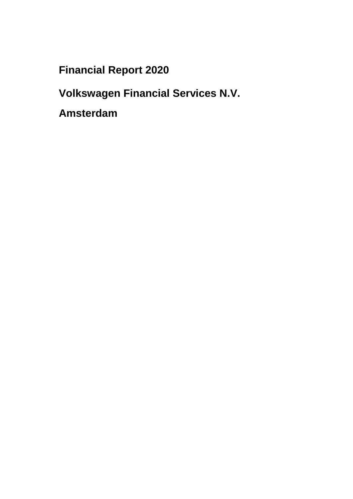**Financial Report 2020**

**Volkswagen Financial Services N.V.**

**Amsterdam**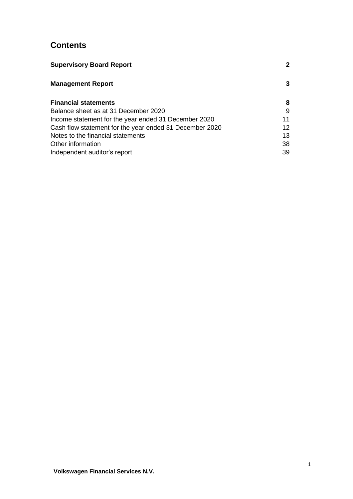## **Contents**

| <b>Supervisory Board Report</b>                         | $\mathbf{2}$ |
|---------------------------------------------------------|--------------|
| <b>Management Report</b>                                | 3            |
| <b>Financial statements</b>                             | 8            |
| Balance sheet as at 31 December 2020                    | 9            |
| Income statement for the year ended 31 December 2020    | 11           |
| Cash flow statement for the year ended 31 December 2020 | 12           |
| Notes to the financial statements                       | 13           |
| Other information                                       | 38           |
| Independent auditor's report                            | 39           |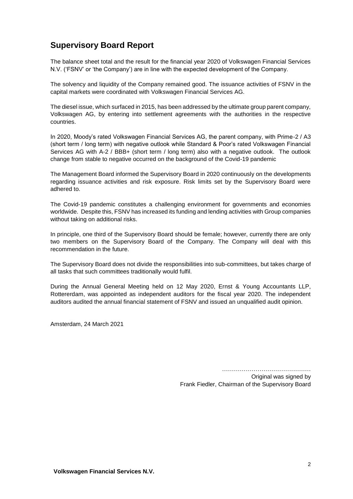## **Supervisory Board Report**

The balance sheet total and the result for the financial year 2020 of Volkswagen Financial Services N.V. ('FSNV' or 'the Company') are in line with the expected development of the Company.

The solvency and liquidity of the Company remained good. The issuance activities of FSNV in the capital markets were coordinated with Volkswagen Financial Services AG.

The diesel issue, which surfaced in 2015, has been addressed by the ultimate group parent company, Volkswagen AG, by entering into settlement agreements with the authorities in the respective countries.

In 2020, Moody's rated Volkswagen Financial Services AG, the parent company, with Prime-2 / A3 (short term / long term) with negative outlook while Standard & Poor's rated Volkswagen Financial Services AG with A-2 / BBB+ (short term / long term) also with a negative outlook. The outlook change from stable to negative occurred on the background of the Covid-19 pandemic

The Management Board informed the Supervisory Board in 2020 continuously on the developments regarding issuance activities and risk exposure. Risk limits set by the Supervisory Board were adhered to.

The Covid-19 pandemic constitutes a challenging environment for governments and economies worldwide. Despite this, FSNV has increased its funding and lending activities with Group companies without taking on additional risks.

In principle, one third of the Supervisory Board should be female; however, currently there are only two members on the Supervisory Board of the Company. The Company will deal with this recommendation in the future.

The Supervisory Board does not divide the responsibilities into sub-committees, but takes charge of all tasks that such committees traditionally would fulfil.

During the Annual General Meeting held on 12 May 2020, Ernst & Young Accountants LLP, Rottererdam, was appointed as independent auditors for the fiscal year 2020. The independent auditors audited the annual financial statement of FSNV and issued an unqualified audit opinion.

Amsterdam, 24 March 2021

……………………………………… Original was signed by Frank Fiedler, Chairman of the Supervisory Board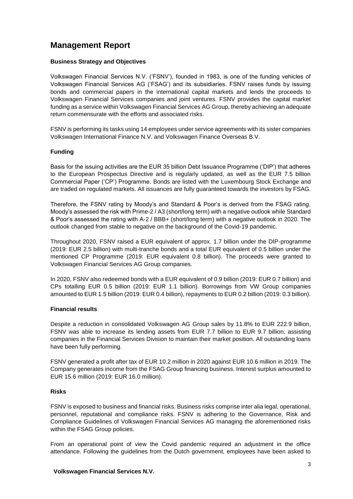## **Management Report**

#### **Business Strategy and Objectives**

Volkswagen Financial Services N.V. ('FSNV'), founded in 1983, is one of the funding vehicles of Volkswagen Financial Services AG ('FSAG') and its subsidiaries. FSNV raises funds by issuing bonds and commercial papers in the international capital markets and lends the proceeds to Volkswagen Financial Services companies and joint ventures. FSNV provides the capital market funding as a service within Volkswagen Financial Services AG Group, thereby achieving an adequate return commensurate with the efforts and associated risks.

FSNV is performing its tasks using 14 employees under service agreements with its sister companies Volkswagen International Finance N.V. and Volkswagen Finance Overseas B.V.

#### **Funding**

Basis for the issuing activities are the EUR 35 billion Debt Issuance Programme ('DIP') that adheres to the European Prospectus Directive and is regularly updated, as well as the EUR 7.5 billion Commercial Paper ('CP') Programme. Bonds are listed with the Luxembourg Stock Exchange and are traded on regulated markets. All issuances are fully guaranteed towards the investors by FSAG.

Therefore, the FSNV rating by Moody's and Standard & Poor's is derived from the FSAG rating. Moody's assessed the risk with Prime-2 / A3 (short/long term) with a negative outlook while Standard & Poor's assessed the rating with A-2 / BBB+ (short/long term) with a negative outlook in 2020. The outlook changed from stable to negative on the background of the Covid-19 pandemic.

Throughout 2020, FSNV raised a EUR equivalent of approx. 1.7 billion under the DIP-programme (2019: EUR 2.5 billion) with multi-tranche bonds and a total EUR equivalent of 0.5 billion under the mentioned CP Programme (2019: EUR equivalent 0.8 billion). The proceeds were granted to Volkswagen Financial Services AG Group companies.

In 2020, FSNV also redeemed bonds with a EUR equivalent of 0.9 billion (2019: EUR 0.7 billion) and CPs totalling EUR 0.5 billion (2019: EUR 1.1 billion). Borrowings from VW Group companies amounted to EUR 1.5 billion (2019: EUR 0.4 billion), repayments to EUR 0.2 billion (2019: 0.3 billion).

#### **Financial results**

Despite a reduction in consolidated Volkswagen AG Group sales by 11.8% to EUR 222.9 billion, FSNV was able to increase its lending assets from EUR 7.7 billion to EUR 9.7 billion, assisting companies in the Financial Services Division to maintain their market position. All outstanding loans have been fully performing.

FSNV generated a profit after tax of EUR 10.2 million in 2020 against EUR 10.6 million in 2019. The Company generates income from the FSAG Group financing business. Interest surplus amounted to EUR 15.6 million (2019: EUR 16.0 million).

#### **Risks**

FSNV is exposed to business and financial risks. Business risks comprise inter alia legal, operational, personnel, reputational and compliance risks. FSNV is adhering to the Governance, Risk and Compliance Guidelines of Volkswagen Financial Services AG managing the aforementioned risks within the FSAG Group policies.

From an operational point of view the Covid pandemic required an adjustment in the office attendance. Following the guidelines from the Dutch government, employees have been asked to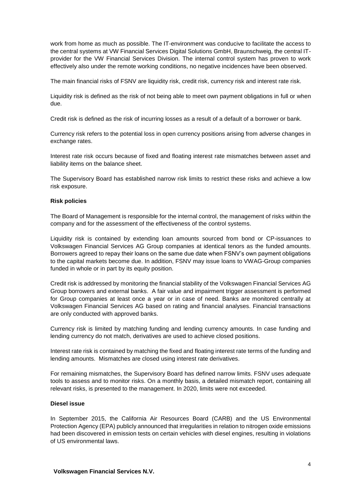work from home as much as possible. The IT-environment was conducive to facilitate the access to the central systems at VW Financial Services Digital Solutions GmbH, Braunschweig, the central ITprovider for the VW Financial Services Division. The internal control system has proven to work effectively also under the remote working conditions, no negative incidences have been observed.

The main financial risks of FSNV are liquidity risk, credit risk, currency risk and interest rate risk.

Liquidity risk is defined as the risk of not being able to meet own payment obligations in full or when due.

Credit risk is defined as the risk of incurring losses as a result of a default of a borrower or bank.

Currency risk refers to the potential loss in open currency positions arising from adverse changes in exchange rates.

Interest rate risk occurs because of fixed and floating interest rate mismatches between asset and liability items on the balance sheet.

The Supervisory Board has established narrow risk limits to restrict these risks and achieve a low risk exposure.

#### **Risk policies**

The Board of Management is responsible for the internal control, the management of risks within the company and for the assessment of the effectiveness of the control systems.

Liquidity risk is contained by extending loan amounts sourced from bond or CP-issuances to Volkswagen Financial Services AG Group companies at identical tenors as the funded amounts. Borrowers agreed to repay their loans on the same due date when FSNV's own payment obligations to the capital markets become due. In addition, FSNV may issue loans to VWAG-Group companies funded in whole or in part by its equity position.

Credit risk is addressed by monitoring the financial stability of the Volkswagen Financial Services AG Group borrowers and external banks. A fair value and impairment trigger assessment is performed for Group companies at least once a year or in case of need. Banks are monitored centrally at Volkswagen Financial Services AG based on rating and financial analyses. Financial transactions are only conducted with approved banks.

Currency risk is limited by matching funding and lending currency amounts. In case funding and lending currency do not match, derivatives are used to achieve closed positions.

Interest rate risk is contained by matching the fixed and floating interest rate terms of the funding and lending amounts. Mismatches are closed using interest rate derivatives.

For remaining mismatches, the Supervisory Board has defined narrow limits. FSNV uses adequate tools to assess and to monitor risks. On a monthly basis, a detailed mismatch report, containing all relevant risks, is presented to the management. In 2020, limits were not exceeded.

#### **Diesel issue**

In September 2015, the California Air Resources Board (CARB) and the US Environmental Protection Agency (EPA) publicly announced that irregularities in relation to nitrogen oxide emissions had been discovered in emission tests on certain vehicles with diesel engines, resulting in violations of US environmental laws.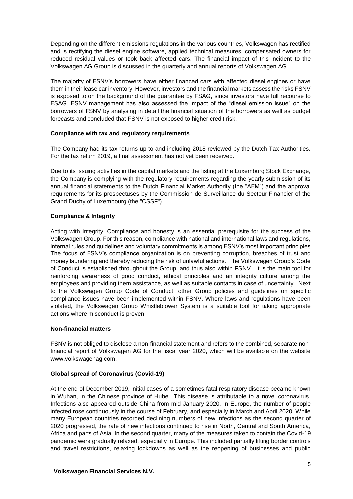Depending on the different emissions regulations in the various countries, Volkswagen has rectified and is rectifying the diesel engine software, applied technical measures, compensated owners for reduced residual values or took back affected cars. The financial impact of this incident to the Volkswagen AG Group is discussed in the quarterly and annual reports of Volkswagen AG.

The majority of FSNV's borrowers have either financed cars with affected diesel engines or have them in their lease car inventory. However, investors and the financial markets assess the risks FSNV is exposed to on the background of the guarantee by FSAG, since investors have full recourse to FSAG. FSNV management has also assessed the impact of the "diesel emission issue" on the borrowers of FSNV by analysing in detail the financial situation of the borrowers as well as budget forecasts and concluded that FSNV is not exposed to higher credit risk.

#### **Compliance with tax and regulatory requirements**

The Company had its tax returns up to and including 2018 reviewed by the Dutch Tax Authorities. For the tax return 2019, a final assessment has not yet been received.

Due to its issuing activities in the capital markets and the listing at the Luxemburg Stock Exchange, the Company is complying with the regulatory requirements regarding the yearly submission of its annual financial statements to the Dutch Financial Market Authority (the "AFM") and the approval requirements for its prospectuses by the Commission de Surveillance du Secteur Financier of the Grand Duchy of Luxembourg (the "CSSF").

#### **Compliance & Integrity**

Acting with Integrity, Compliance and honesty is an essential prerequisite for the success of the Volkswagen Group. For this reason, compliance with national and international laws and regulations, internal rules and guidelines and voluntary commitments is among FSNV's most important principles The focus of FSNV's compliance organization is on preventing corruption, breaches of trust and money laundering and thereby reducing the risk of unlawful actions. The Volkswagen Group's Code of Conduct is established throughout the Group, and thus also within FSNV. It is the main tool for reinforcing awareness of good conduct, ethical principles and an integrity culture among the employees and providing them assistance, as well as suitable contacts in case of uncertainty. Next to the Volkswagen Group Code of Conduct, other Group policies and guidelines on specific compliance issues have been implemented within FSNV. Where laws and regulations have been violated, the Volkswagen Group Whistleblower System is a suitable tool for taking appropriate actions where misconduct is proven.

#### **Non-financial matters**

FSNV is not obliged to disclose a non-financial statement and refers to the combined, separate nonfinancial report of Volkswagen AG for the fiscal year 2020, which will be available on the website www.volkswagenag.com.

## **Global spread of Coronavirus (Covid-19)**

At the end of December 2019, initial cases of a sometimes fatal respiratory disease became known in Wuhan, in the Chinese province of Hubei. This disease is attributable to a novel coronavirus. Infections also appeared outside China from mid-January 2020. In Europe, the number of people infected rose continuously in the course of February, and especially in March and April 2020. While many European countries recorded declining numbers of new infections as the second quarter of 2020 progressed, the rate of new infections continued to rise in North, Central and South America, Africa and parts of Asia. In the second quarter, many of the measures taken to contain the Covid-19 pandemic were gradually relaxed, especially in Europe. This included partially lifting border controls and travel restrictions, relaxing lockdowns as well as the reopening of businesses and public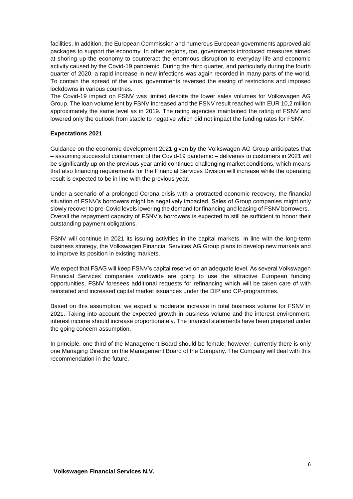facilities. In addition, the European Commission and numerous European governments approved aid packages to support the economy. In other regions, too, governments introduced measures aimed at shoring up the economy to counteract the enormous disruption to everyday life and economic activity caused by the Covid-19 pandemic. During the third quarter, and particularly during the fourth quarter of 2020, a rapid increase in new infections was again recorded in many parts of the world. To contain the spread of the virus, governments reversed the easing of restrictions and imposed lockdowns in various countries.

The Covid-19 impact on FSNV was limited despite the lower sales volumes for Volkswagen AG Group. The loan volume lent by FSNV increased and the FSNV result reached with EUR 10,2 million approximately the same level as in 2019. The rating agencies maintained the rating of FSNV and lowered only the outlook from stable to negative which did not impact the funding rates for FSNV.

#### **Expectations 2021**

Guidance on the economic development 2021 given by the Volkswagen AG Group anticipates that – assuming successful containment of the Covid-19 pandemic – deliveries to customers in 2021 will be significantly up on the previous year amid continued challenging market conditions, which means that also financing requirements for the Financial Services Division will increase while the operating result is expected to be in line with the previous year.

Under a scenario of a prolonged Corona crisis with a protracted economic recovery, the financial situation of FSNV's borrowers might be negatively impacted. Sales of Group companies might only slowly recover to pre-Covid levels lowering the demand for financing and leasing of FSNV borrowers.. Overall the repayment capacity of FSNV's borrowers is expected to still be sufficient to honor their outstanding payment obligations.

FSNV will continue in 2021 its issuing activities in the capital markets. In line with the long-term business strategy, the Volkswagen Financial Services AG Group plans to develop new markets and to improve its position in existing markets.

We expect that FSAG will keep FSNV's capital reserve on an adequate level. As several Volkswagen Financial Services companies worldwide are going to use the attractive European funding opportunities, FSNV foresees additional requests for refinancing which will be taken care of with reinstated and increased capital market issuances under the DIP and CP-programmes.

Based on this assumption, we expect a moderate increase in total business volume for FSNV in 2021. Taking into account the expected growth in business volume and the interest environment, interest income should increase proportionately. The financial statements have been prepared under the going concern assumption.

In principle, one third of the Management Board should be female; however, currently there is only one Managing Director on the Management Board of the Company. The Company will deal with this recommendation in the future.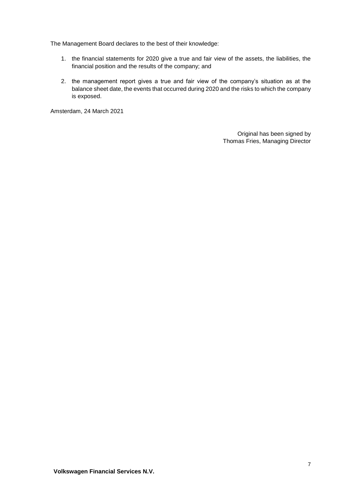The Management Board declares to the best of their knowledge:

- 1. the financial statements for 2020 give a true and fair view of the assets, the liabilities, the financial position and the results of the company; and
- 2. the management report gives a true and fair view of the company's situation as at the balance sheet date, the events that occurred during 2020 and the risks to which the company is exposed.

Amsterdam, 24 March 2021

Original has been signed by Thomas Fries, Managing Director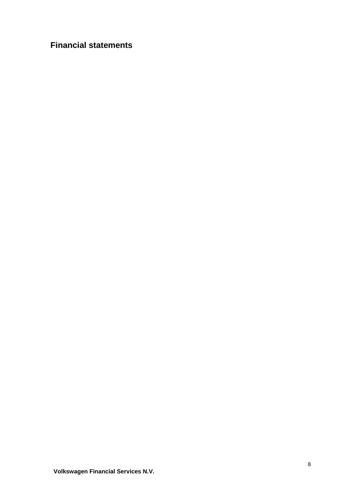## **Financial statements**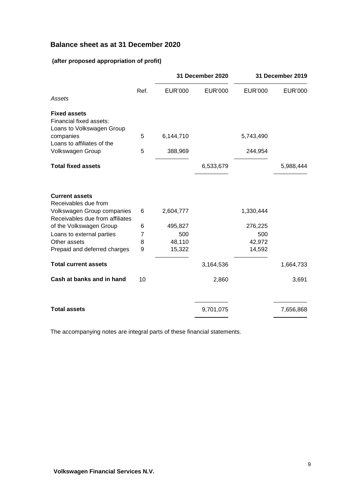## **Balance sheet as at 31 December 2020**

## **(after proposed appropriation of profit)**

|                                                               |      |                | 31 December 2020 |                | 31 December 2019 |
|---------------------------------------------------------------|------|----------------|------------------|----------------|------------------|
| Assets                                                        | Ref. | <b>EUR'000</b> | <b>EUR'000</b>   | <b>EUR'000</b> | <b>EUR'000</b>   |
| <b>Fixed assets</b>                                           |      |                |                  |                |                  |
| Financial fixed assets:                                       |      |                |                  |                |                  |
| Loans to Volkswagen Group                                     |      |                |                  |                |                  |
| companies<br>Loans to affiliates of the                       | 5    | 6,144,710      |                  | 5,743,490      |                  |
| Volkswagen Group                                              | 5    | 388,969        |                  | 244,954        |                  |
| <b>Total fixed assets</b>                                     |      |                | 6,533,679        |                | 5,988,444        |
| <b>Current assets</b><br>Receivables due from                 |      |                |                  |                |                  |
| Volkswagen Group companies<br>Receivables due from affiliates | 6    | 2,604,777      |                  | 1,330,444      |                  |
| of the Volkswagen Group                                       | 6    | 495,827        |                  | 276,225        |                  |
| Loans to external parties                                     | 7    | 500            |                  | 500            |                  |
| Other assets                                                  | 8    | 48,110         |                  | 42,972         |                  |
| Prepaid and deferred charges                                  | 9    | 15,322         |                  | 14,592         |                  |
| <b>Total current assets</b>                                   |      |                | 3,164,536        |                | 1,664,733        |
| Cash at banks and in hand                                     | 10   |                | 2,860            |                | 3,691            |
| <b>Total assets</b>                                           |      |                | 9,701,075        |                | 7,656,868        |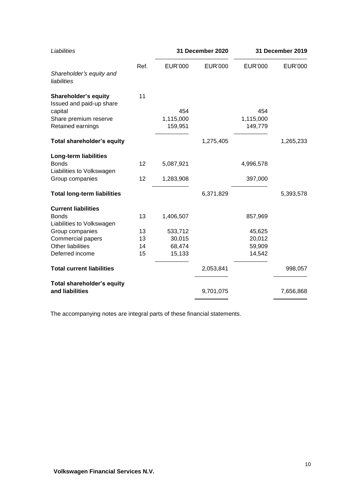| Liabilities                        |      | 31 December 2020 |                |                | 31 December 2019 |
|------------------------------------|------|------------------|----------------|----------------|------------------|
| Shareholder's equity and           | Ref. | <b>EUR'000</b>   | <b>EUR'000</b> | <b>EUR'000</b> | <b>EUR'000</b>   |
| liabilities                        |      |                  |                |                |                  |
| <b>Shareholder's equity</b>        | 11   |                  |                |                |                  |
| Issued and paid-up share           |      |                  |                |                |                  |
| capital                            |      | 454              |                | 454            |                  |
| Share premium reserve              |      | 1,115,000        |                | 1,115,000      |                  |
| Retained earnings                  |      | 159,951          |                | 149,779        |                  |
| Total shareholder's equity         |      |                  | 1,275,405      |                | 1,265,233        |
| <b>Long-term liabilities</b>       |      |                  |                |                |                  |
| <b>Bonds</b>                       | 12   | 5,087,921        |                | 4,996,578      |                  |
| Liabilities to Volkswagen          |      |                  |                |                |                  |
| Group companies                    | 12   | 1,283,908        |                | 397,000        |                  |
| <b>Total long-term liabilities</b> |      |                  | 6,371,829      |                | 5,393,578        |
| <b>Current liabilities</b>         |      |                  |                |                |                  |
| <b>Bonds</b>                       | 13   | 1,406,507        |                | 857,969        |                  |
| Liabilities to Volkswagen          |      |                  |                |                |                  |
| Group companies                    | 13   | 533,712          |                | 45,625         |                  |
| <b>Commercial papers</b>           | 13   | 30,015           |                | 20,012         |                  |
| <b>Other liabilities</b>           | 14   | 68,474           |                | 59,909         |                  |
| Deferred income                    | 15   | 15,133           |                | 14,542         |                  |
| <b>Total current liabilities</b>   |      |                  | 2,053,841      |                | 998,057          |
| Total shareholder's equity         |      |                  |                |                |                  |
| and liabilities                    |      |                  | 9,701,075      |                | 7,656,868        |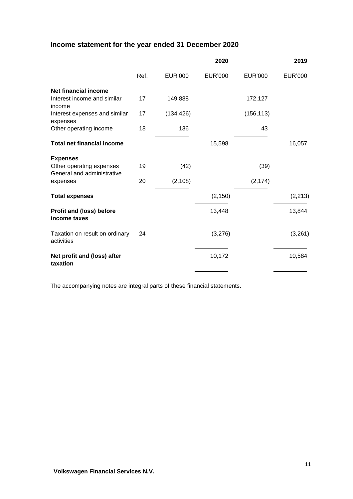## **Income statement for the year ended 31 December 2020**

|                                                        |      |                | 2020           |                | 2019           |
|--------------------------------------------------------|------|----------------|----------------|----------------|----------------|
|                                                        | Ref. | <b>EUR'000</b> | <b>EUR'000</b> | <b>EUR'000</b> | <b>EUR'000</b> |
| Net financial income                                   |      |                |                |                |                |
| Interest income and similar<br>income                  | 17   | 149,888        |                | 172,127        |                |
| Interest expenses and similar<br>expenses              | 17   | (134, 426)     |                | (156, 113)     |                |
| Other operating income                                 | 18   | 136            |                | 43             |                |
| <b>Total net financial income</b>                      |      |                | 15,598         |                | 16,057         |
| <b>Expenses</b>                                        |      |                |                |                |                |
| Other operating expenses<br>General and administrative | 19   | (42)           |                | (39)           |                |
| expenses                                               | 20   | (2, 108)       |                | (2, 174)       |                |
| <b>Total expenses</b>                                  |      |                | (2, 150)       |                | (2, 213)       |
| <b>Profit and (loss) before</b><br>income taxes        |      |                | 13,448         |                | 13,844         |
| Taxation on result on ordinary<br>activities           | 24   |                | (3,276)        |                | (3, 261)       |
| Net profit and (loss) after<br>taxation                |      |                | 10,172         |                | 10,584         |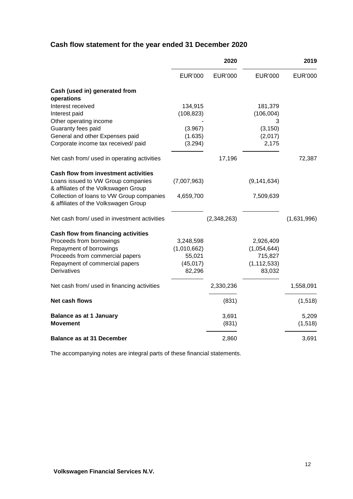## **Cash flow statement for the year ended 31 December 2020**

|                                                   | 2020           |                |                | 2019           |
|---------------------------------------------------|----------------|----------------|----------------|----------------|
|                                                   | <b>EUR'000</b> | <b>EUR'000</b> | <b>EUR'000</b> | <b>EUR'000</b> |
| Cash (used in) generated from                     |                |                |                |                |
| operations                                        |                |                |                |                |
| Interest received                                 | 134,915        |                | 181,379        |                |
| Interest paid                                     | (108, 823)     |                | (106,004)      |                |
| Other operating income                            |                |                | 3              |                |
| Guaranty fees paid                                | (3.967)        |                | (3, 150)       |                |
| General and other Expenses paid                   | (1.635)        |                | (2,017)        |                |
| Corporate income tax received/ paid               | (3.294)        |                | 2,175          |                |
| Net cash from/ used in operating activities       |                | 17,196         |                | 72,387         |
| <b>Cash flow from investment activities</b>       |                |                |                |                |
| Loans issued to VW Group companies                | (7,007,963)    |                | (9, 141, 634)  |                |
| & affiliates of the Volkswagen Group              |                |                |                |                |
| Collection of loans to VW Group companies         | 4,659,700      |                | 7,509,639      |                |
| & affiliates of the Volkswagen Group              |                |                |                |                |
| Net cash from/ used in investment activities      |                | (2,348,263)    |                | (1,631,996)    |
| Cash flow from financing activities               |                |                |                |                |
| Proceeds from borrowings                          | 3,248,598      |                | 2,926,409      |                |
| Repayment of borrowings                           | (1,010,662)    |                | (1,054,644)    |                |
| Proceeds from commercial papers                   | 55,021         |                | 715,827        |                |
| Repayment of commercial papers                    | (45, 017)      |                | (1, 112, 533)  |                |
| <b>Derivatives</b>                                | 82,296         |                | 83,032         |                |
| Net cash from/ used in financing activities       |                | 2,330,236      |                | 1,558,091      |
| Net cash flows                                    |                | (831)          |                | (1, 518)       |
|                                                   |                | 3,691          |                | 5,209          |
| <b>Balance as at 1 January</b><br><b>Movement</b> |                | (831)          |                | (1, 518)       |
|                                                   |                |                |                |                |
| <b>Balance as at 31 December</b>                  |                | 2,860          |                | 3,691          |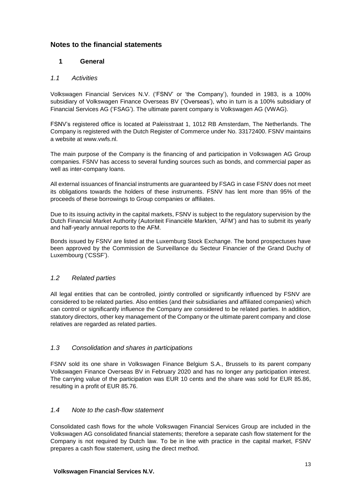## **Notes to the financial statements**

## **1 General**

## *1.1 Activities*

Volkswagen Financial Services N.V. ('FSNV' or 'the Company'), founded in 1983, is a 100% subsidiary of Volkswagen Finance Overseas BV ('Overseas'), who in turn is a 100% subsidiary of Financial Services AG ('FSAG'). The ultimate parent company is Volkswagen AG (VWAG).

FSNV's registered office is located at Paleisstraat 1, 1012 RB Amsterdam, The Netherlands. The Company is registered with the Dutch Register of Commerce under No. 33172400. FSNV maintains a website at www.vwfs.nl.

The main purpose of the Company is the financing of and participation in Volkswagen AG Group companies. FSNV has access to several funding sources such as bonds, and commercial paper as well as inter-company loans.

All external issuances of financial instruments are guaranteed by FSAG in case FSNV does not meet its obligations towards the holders of these instruments. FSNV has lent more than 95% of the proceeds of these borrowings to Group companies or affiliates.

Due to its issuing activity in the capital markets, FSNV is subject to the regulatory supervision by the Dutch Financial Market Authority (Autoriteit Financiële Markten, 'AFM') and has to submit its yearly and half-yearly annual reports to the AFM.

Bonds issued by FSNV are listed at the Luxemburg Stock Exchange. The bond prospectuses have been approved by the Commission de Surveillance du Secteur Financier of the Grand Duchy of Luxembourg ('CSSF').

## *1.2 Related parties*

All legal entities that can be controlled, jointly controlled or significantly influenced by FSNV are considered to be related parties. Also entities (and their subsidiaries and affiliated companies) which can control or significantly influence the Company are considered to be related parties. In addition, statutory directors, other key management of the Company or the ultimate parent company and close relatives are regarded as related parties.

## *1.3 Consolidation and shares in participations*

FSNV sold its one share in Volkswagen Finance Belgium S.A., Brussels to its parent company Volkswagen Finance Overseas BV in February 2020 and has no longer any participation interest. The carrying value of the participation was EUR 10 cents and the share was sold for EUR 85.86, resulting in a profit of EUR 85.76.

## *1.4 Note to the cash-flow statement*

Consolidated cash flows for the whole Volkswagen Financial Services Group are included in the Volkswagen AG consolidated financial statements; therefore a separate cash flow statement for the Company is not required by Dutch law. To be in line with practice in the capital market, FSNV prepares a cash flow statement, using the direct method.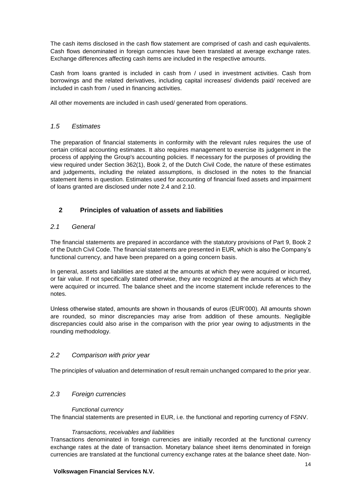The cash items disclosed in the cash flow statement are comprised of cash and cash equivalents. Cash flows denominated in foreign currencies have been translated at average exchange rates. Exchange differences affecting cash items are included in the respective amounts.

Cash from loans granted is included in cash from / used in investment activities. Cash from borrowings and the related derivatives, including capital increases/ dividends paid/ received are included in cash from / used in financing activities.

All other movements are included in cash used/ generated from operations.

## *1.5 Estimates*

The preparation of financial statements in conformity with the relevant rules requires the use of certain critical accounting estimates. It also requires management to exercise its judgement in the process of applying the Group's accounting policies. If necessary for the purposes of providing the view required under Section 362(1), Book 2, of the Dutch Civil Code, the nature of these estimates and judgements, including the related assumptions, is disclosed in the notes to the financial statement items in question. Estimates used for accounting of financial fixed assets and impairment of loans granted are disclosed under note 2.4 and 2.10.

## **2 Principles of valuation of assets and liabilities**

## *2.1 General*

The financial statements are prepared in accordance with the statutory provisions of Part 9, Book 2 of the Dutch Civil Code. The financial statements are presented in EUR, which is also the Company's functional currency, and have been prepared on a going concern basis.

In general, assets and liabilities are stated at the amounts at which they were acquired or incurred, or fair value. If not specifically stated otherwise, they are recognized at the amounts at which they were acquired or incurred. The balance sheet and the income statement include references to the notes.

Unless otherwise stated, amounts are shown in thousands of euros (EUR'000). All amounts shown are rounded, so minor discrepancies may arise from addition of these amounts. Negligible discrepancies could also arise in the comparison with the prior year owing to adjustments in the rounding methodology.

## *2.2 Comparison with prior year*

The principles of valuation and determination of result remain unchanged compared to the prior year.

## *2.3 Foreign currencies*

#### *Functional currency*

The financial statements are presented in EUR, i.e. the functional and reporting currency of FSNV.

#### *Transactions, receivables and liabilities*

Transactions denominated in foreign currencies are initially recorded at the functional currency exchange rates at the date of transaction. Monetary balance sheet items denominated in foreign currencies are translated at the functional currency exchange rates at the balance sheet date. Non-

#### **Volkswagen Financial Services N.V.**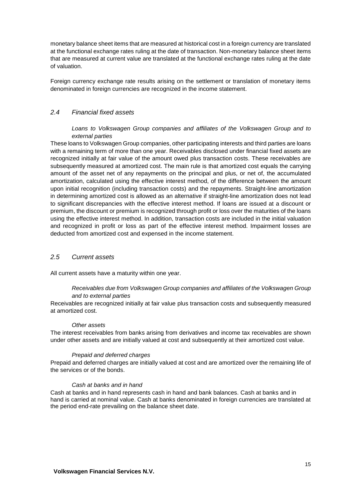monetary balance sheet items that are measured at historical cost in a foreign currency are translated at the functional exchange rates ruling at the date of transaction. Non-monetary balance sheet items that are measured at current value are translated at the functional exchange rates ruling at the date of valuation.

Foreign currency exchange rate results arising on the settlement or translation of monetary items denominated in foreign currencies are recognized in the income statement.

### *2.4 Financial fixed assets*

#### *Loans to Volkswagen Group companies and affiliates of the Volkswagen Group and to external parties*

These loans to Volkswagen Group companies, other participating interests and third parties are loans with a remaining term of more than one year. Receivables disclosed under financial fixed assets are recognized initially at fair value of the amount owed plus transaction costs. These receivables are subsequently measured at amortized cost. The main rule is that amortized cost equals the carrying amount of the asset net of any repayments on the principal and plus, or net of, the accumulated amortization, calculated using the effective interest method, of the difference between the amount upon initial recognition (including transaction costs) and the repayments. Straight-line amortization in determining amortized cost is allowed as an alternative if straight-line amortization does not lead to significant discrepancies with the effective interest method. If loans are issued at a discount or premium, the discount or premium is recognized through profit or loss over the maturities of the loans using the effective interest method. In addition, transaction costs are included in the initial valuation and recognized in profit or loss as part of the effective interest method. Impairment losses are deducted from amortized cost and expensed in the income statement.

#### *2.5 Current assets*

All current assets have a maturity within one year.

#### *Receivables due from Volkswagen Group companies and affiliates of the Volkswagen Group and to external parties*

Receivables are recognized initially at fair value plus transaction costs and subsequently measured at amortized cost.

#### *Other assets*

The interest receivables from banks arising from derivatives and income tax receivables are shown under other assets and are initially valued at cost and subsequently at their amortized cost value.

#### *Prepaid and deferred charges*

Prepaid and deferred charges are initially valued at cost and are amortized over the remaining life of the services or of the bonds.

#### *Cash at banks and in hand*

Cash at banks and in hand represents cash in hand and bank balances. Cash at banks and in hand is carried at nominal value. Cash at banks denominated in foreign currencies are translated at the period end-rate prevailing on the balance sheet date.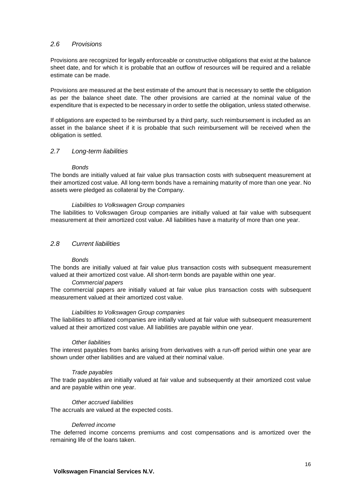## *2.6 Provisions*

Provisions are recognized for legally enforceable or constructive obligations that exist at the balance sheet date, and for which it is probable that an outflow of resources will be required and a reliable estimate can be made.

Provisions are measured at the best estimate of the amount that is necessary to settle the obligation as per the balance sheet date. The other provisions are carried at the nominal value of the expenditure that is expected to be necessary in order to settle the obligation, unless stated otherwise.

If obligations are expected to be reimbursed by a third party, such reimbursement is included as an asset in the balance sheet if it is probable that such reimbursement will be received when the obligation is settled.

#### *2.7 Long-term liabilities*

#### *Bonds*

The bonds are initially valued at fair value plus transaction costs with subsequent measurement at their amortized cost value. All long-term bonds have a remaining maturity of more than one year. No assets were pledged as collateral by the Company.

#### *Liabilities to Volkswagen Group companies*

The liabilities to Volkswagen Group companies are initially valued at fair value with subsequent measurement at their amortized cost value. All liabilities have a maturity of more than one year.

#### *2.8 Current liabilities*

#### *Bonds*

The bonds are initially valued at fair value plus transaction costs with subsequent measurement valued at their amortized cost value. All short-term bonds are payable within one year.

#### *Commercial papers*

The commercial papers are initially valued at fair value plus transaction costs with subsequent measurement valued at their amortized cost value.

#### *Liabilities to Volkswagen Group companies*

The liabilities to affiliated companies are initially valued at fair value with subsequent measurement valued at their amortized cost value. All liabilities are payable within one year.

#### *Other liabilities*

The interest payables from banks arising from derivatives with a run-off period within one year are shown under other liabilities and are valued at their nominal value.

#### *Trade payables*

The trade payables are initially valued at fair value and subsequently at their amortized cost value and are payable within one year.

#### *Other accrued liabilities*

The accruals are valued at the expected costs.

#### *Deferred income*

The deferred income concerns premiums and cost compensations and is amortized over the remaining life of the loans taken.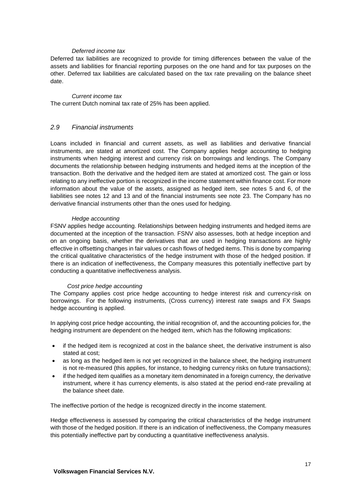#### *Deferred income tax*

Deferred tax liabilities are recognized to provide for timing differences between the value of the assets and liabilities for financial reporting purposes on the one hand and for tax purposes on the other. Deferred tax liabilities are calculated based on the tax rate prevailing on the balance sheet date.

#### *Current income tax*

The current Dutch nominal tax rate of 25% has been applied.

#### *2.9 Financial instruments*

Loans included in financial and current assets, as well as liabilities and derivative financial instruments, are stated at amortized cost. The Company applies hedge accounting to hedging instruments when hedging interest and currency risk on borrowings and lendings. The Company documents the relationship between hedging instruments and hedged items at the inception of the transaction. Both the derivative and the hedged item are stated at amortized cost. The gain or loss relating to any ineffective portion is recognized in the income statement within finance cost. For more information about the value of the assets, assigned as hedged item, see notes 5 and 6, of the liabilities see notes 12 and 13 and of the financial instruments see note 23. The Company has no derivative financial instruments other than the ones used for hedging.

#### *Hedge accounting*

FSNV applies hedge accounting. Relationships between hedging instruments and hedged items are documented at the inception of the transaction. FSNV also assesses, both at hedge inception and on an ongoing basis, whether the derivatives that are used in hedging transactions are highly effective in offsetting changes in fair values or cash flows of hedged items. This is done by comparing the critical qualitative characteristics of the hedge instrument with those of the hedged position. If there is an indication of ineffectiveness, the Company measures this potentially ineffective part by conducting a quantitative ineffectiveness analysis.

#### *Cost price hedge accounting*

The Company applies cost price hedge accounting to hedge interest risk and currency-risk on borrowings. For the following instruments, (Cross currency) interest rate swaps and FX Swaps hedge accounting is applied.

In applying cost price hedge accounting, the initial recognition of, and the accounting policies for, the hedging instrument are dependent on the hedged item, which has the following implications:

- if the hedged item is recognized at cost in the balance sheet, the derivative instrument is also stated at cost;
- as long as the hedged item is not yet recognized in the balance sheet, the hedging instrument is not re-measured (this applies, for instance, to hedging currency risks on future transactions);
- if the hedged item qualifies as a monetary item denominated in a foreign currency, the derivative instrument, where it has currency elements, is also stated at the period end-rate prevailing at the balance sheet date.

The ineffective portion of the hedge is recognized directly in the income statement.

Hedge effectiveness is assessed by comparing the critical characteristics of the hedge instrument with those of the hedged position. If there is an indication of ineffectiveness, the Company measures this potentially ineffective part by conducting a quantitative ineffectiveness analysis.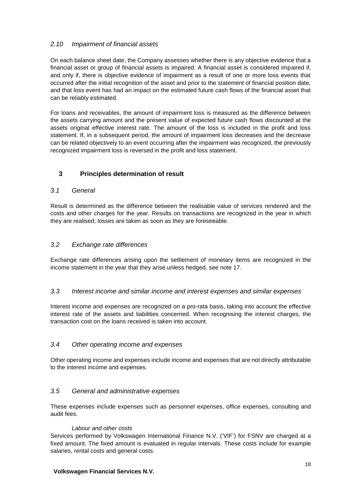## *2.10 Impairment of financial assets*

On each balance sheet date, the Company assesses whether there is any objective evidence that a financial asset or group of financial assets is impaired. A financial asset is considered impaired if, and only if, there is objective evidence of impairment as a result of one or more loss events that occurred after the initial recognition of the asset and prior to the statement of financial position date, and that loss event has had an impact on the estimated future cash flows of the financial asset that can be reliably estimated.

For loans and receivables, the amount of impairment loss is measured as the difference between the assets carrying amount and the present value of expected future cash flows discounted at the assets original effective interest rate. The amount of the loss is included in the profit and loss statement. If, in a subsequent period, the amount of impairment loss decreases and the decrease can be related objectively to an event occurring after the impairment was recognized, the previously recognized impairment loss is reversed in the profit and loss statement.

## **3 Principles determination of result**

#### *3.1 General*

Result is determined as the difference between the realisable value of services rendered and the costs and other charges for the year. Results on transactions are recognized in the year in which they are realised; losses are taken as soon as they are foreseeable.

#### *3.2 Exchange rate differences*

Exchange rate differences arising upon the settlement of monetary items are recognized in the income statement in the year that they arise unless hedged, see note 17.

#### *3.3 Interest income and similar income and interest expenses and similar expenses*

Interest income and expenses are recognized on a pro-rata basis, taking into account the effective interest rate of the assets and liabilities concerned. When recognising the interest charges, the transaction cost on the loans received is taken into account.

#### *3.4 Other operating income and expenses*

Other operating income and expenses include income and expenses that are not directly attributable to the interest income and expenses.

## *3.5 General and administrative expenses*

These expenses include expenses such as personnel expenses, office expenses, consulting and audit fees.

#### *Labour and other costs*

Services performed by Volkswagen International Finance N.V. ('VIF') for FSNV are charged at a fixed amount. The fixed amount is evaluated in regular intervals. These costs include for example salaries, rental costs and general costs.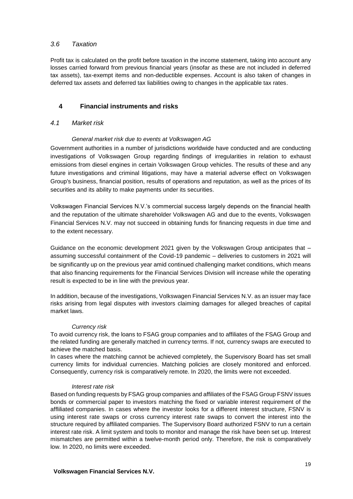## *3.6 Taxation*

Profit tax is calculated on the profit before taxation in the income statement, taking into account any losses carried forward from previous financial years (insofar as these are not included in deferred tax assets), tax-exempt items and non-deductible expenses. Account is also taken of changes in deferred tax assets and deferred tax liabilities owing to changes in the applicable tax rates.

## **4 Financial instruments and risks**

#### *4.1 Market risk*

#### *General market risk due to events at Volkswagen AG*

Government authorities in a number of jurisdictions worldwide have conducted and are conducting investigations of Volkswagen Group regarding findings of irregularities in relation to exhaust emissions from diesel engines in certain Volkswagen Group vehicles. The results of these and any future investigations and criminal litigations, may have a material adverse effect on Volkswagen Group's business, financial position, results of operations and reputation, as well as the prices of its securities and its ability to make payments under its securities.

Volkswagen Financial Services N.V.'s commercial success largely depends on the financial health and the reputation of the ultimate shareholder Volkswagen AG and due to the events, Volkswagen Financial Services N.V. may not succeed in obtaining funds for financing requests in due time and to the extent necessary.

Guidance on the economic development 2021 given by the Volkswagen Group anticipates that – assuming successful containment of the Covid-19 pandemic – deliveries to customers in 2021 will be significantly up on the previous year amid continued challenging market conditions, which means that also financing requirements for the Financial Services Division will increase while the operating result is expected to be in line with the previous year.

In addition, because of the investigations, Volkswagen Financial Services N.V. as an issuer may face risks arising from legal disputes with investors claiming damages for alleged breaches of capital market laws.

#### *Currency risk*

To avoid currency risk, the loans to FSAG group companies and to affiliates of the FSAG Group and the related funding are generally matched in currency terms. If not, currency swaps are executed to achieve the matched basis.

In cases where the matching cannot be achieved completely, the Supervisory Board has set small currency limits for individual currencies. Matching policies are closely monitored and enforced. Consequently, currency risk is comparatively remote. In 2020, the limits were not exceeded.

#### *Interest rate risk*

Based on funding requests by FSAG group companies and affiliates of the FSAG Group FSNV issues bonds or commercial paper to investors matching the fixed or variable interest requirement of the affliliated companies. In cases where the investor looks for a different interest structure, FSNV is using interest rate swaps or cross currency interest rate swaps to convert the interest into the structure required by affiliated companies. The Supervisory Board authorized FSNV to run a certain interest rate risk. A limit system and tools to monitor and manage the risk have been set up. Interest mismatches are permitted within a twelve-month period only. Therefore, the risk is comparatively low. In 2020, no limits were exceeded.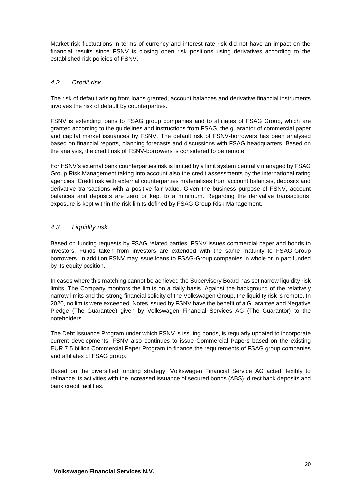Market risk fluctuations in terms of currency and interest rate risk did not have an impact on the financial results since FSNV is closing open risk positions using derivatives according to the established risk policies of FSNV.

## *4.2 Credit risk*

The risk of default arising from loans granted, account balances and derivative financial instruments involves the risk of default by counterparties.

FSNV is extending loans to FSAG group companies and to affiliates of FSAG Group, which are granted according to the guidelines and instructions from FSAG, the guarantor of commercial paper and capital market issuances by FSNV. The default risk of FSNV-borrowers has been analysed based on financial reports, planning forecasts and discussions with FSAG headquarters. Based on the analysis, the credit risk of FSNV-borrowers is considered to be remote.

For FSNV's external bank counterparties risk is limited by a limit system centrally managed by FSAG Group Risk Management taking into account also the credit assessments by the international rating agencies. Credit risk with external counterparties materialises from account balances, deposits and derivative transactions with a positive fair value. Given the business purpose of FSNV, account balances and deposits are zero or kept to a minimum. Regarding the derivative transactions, exposure is kept within the risk limits defined by FSAG Group Risk Management.

## *4.3 Liquidity risk*

Based on funding requests by FSAG related parties, FSNV issues commercial paper and bonds to investors. Funds taken from investors are extended with the same maturity to FSAG-Group borrowers. In addition FSNV may issue loans to FSAG-Group companies in whole or in part funded by its equity position.

In cases where this matching cannot be achieved the Supervisory Board has set narrow liquidity risk limits. The Company monitors the limits on a daily basis. Against the background of the relatively narrow limits and the strong financial solidity of the Volkswagen Group, the liquidity risk is remote. In 2020, no limits were exceeded. Notes issued by FSNV have the benefit of a Guarantee and Negative Pledge (The Guarantee) given by Volkswagen Financial Services AG (The Guarantor) to the noteholders.

The Debt Issuance Program under which FSNV is issuing bonds, is regularly updated to incorporate current developments. FSNV also continues to issue Commercial Papers based on the existing EUR 7.5 billion Commercial Paper Program to finance the requirements of FSAG group companies and affiliates of FSAG group.

Based on the diversified funding strategy, Volkswagen Financial Service AG acted flexibly to refinance its activities with the increased issuance of secured bonds (ABS), direct bank deposits and bank credit facilities.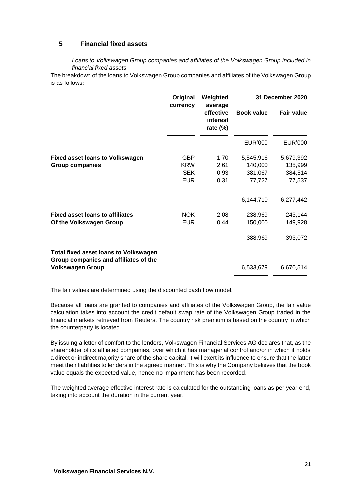## **5 Financial fixed assets**

*Loans to Volkswagen Group companies and affiliates of the Volkswagen Group included in financial fixed assets*

The breakdown of the loans to Volkswagen Group companies and affiliates of the Volkswagen Group is as follows:

|                                                                                       | Original<br>currency | Weighted<br>average                  | 31 December 2020  |                   |
|---------------------------------------------------------------------------------------|----------------------|--------------------------------------|-------------------|-------------------|
|                                                                                       |                      | effective<br>interest<br>rate $(\%)$ | <b>Book value</b> | <b>Fair value</b> |
|                                                                                       |                      |                                      | <b>EUR'000</b>    | <b>EUR'000</b>    |
| <b>Fixed asset loans to Volkswagen</b>                                                | <b>GBP</b>           | 1.70                                 | 5,545,916         | 5,679,392         |
| <b>Group companies</b>                                                                | <b>KRW</b>           | 2.61                                 | 140,000           | 135,999           |
|                                                                                       | <b>SEK</b>           | 0.93                                 | 381,067           | 384,514           |
|                                                                                       | <b>EUR</b>           | 0.31                                 | 77,727            | 77,537            |
|                                                                                       |                      |                                      | 6,144,710         | 6,277,442         |
| <b>Fixed asset loans to affiliates</b>                                                | <b>NOK</b>           | 2.08                                 | 238,969           | 243,144           |
| Of the Volkswagen Group                                                               | <b>EUR</b>           | 0.44                                 | 150,000           | 149,928           |
|                                                                                       |                      |                                      | 388,969           | 393,072           |
| <b>Total fixed asset loans to Volkswagen</b><br>Group companies and affiliates of the |                      |                                      |                   |                   |
| <b>Volkswagen Group</b>                                                               |                      |                                      | 6,533,679         | 6,670,514         |

The fair values are determined using the discounted cash flow model.

Because all loans are granted to companies and affiliates of the Volkswagen Group, the fair value calculation takes into account the credit default swap rate of the Volkswagen Group traded in the financial markets retrieved from Reuters. The country risk premium is based on the country in which the counterparty is located.

By issuing a letter of comfort to the lenders, Volkswagen Financial Services AG declares that, as the shareholder of its affliated companies, over which it has managerial control and/or in which it holds a direct or indirect majority share of the share capital, it will exert its influence to ensure that the latter meet their liabilities to lenders in the agreed manner. This is why the Company believes that the book value equals the expected value, hence no impairment has been recorded.

The weighted average effective interest rate is calculated for the outstanding loans as per year end, taking into account the duration in the current year.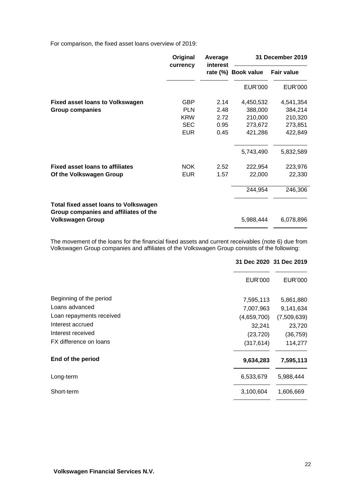For comparison, the fixed asset loans overview of 2019:

|                                                                                       | Original<br>currency | Average<br>interest |                   | 31 December 2019  |
|---------------------------------------------------------------------------------------|----------------------|---------------------|-------------------|-------------------|
|                                                                                       |                      | rate (%)            | <b>Book value</b> | <b>Fair value</b> |
|                                                                                       |                      |                     | <b>EUR'000</b>    | EUR'000           |
| Fixed asset loans to Volkswagen                                                       | <b>GBP</b>           | 2.14                | 4,450,532         | 4,541,354         |
| <b>Group companies</b>                                                                | <b>PLN</b>           | 2.48                | 388,000           | 384,214           |
|                                                                                       | <b>KRW</b>           | 2.72                | 210,000           | 210,320           |
|                                                                                       | <b>SEC</b>           | 0.95                | 273,672           | 273,851           |
|                                                                                       | <b>EUR</b>           | 0.45                | 421,286           | 422,849           |
|                                                                                       |                      |                     | 5,743,490         | 5,832,589         |
| <b>Fixed asset loans to affiliates</b>                                                | <b>NOK</b>           | 2.52                | 222,954           | 223,976           |
| Of the Volkswagen Group                                                               | <b>EUR</b>           | 1.57                | 22,000            | 22,330            |
|                                                                                       |                      |                     | 244,954           | 246,306           |
| <b>Total fixed asset loans to Volkswagen</b><br>Group companies and affiliates of the |                      |                     |                   |                   |
| <b>Volkswagen Group</b>                                                               |                      |                     | 5,988,444         | 6,078,896         |

The movement of the loans for the financial fixed assets and current receivables (note 6) due from Volkswagen Group companies and affiliates of the Volkswagen Group consists of the following:

|                                         | 31 Dec 2020 31 Dec 2019 |
|-----------------------------------------|-------------------------|
| <b>EUR'000</b>                          | EUR'000                 |
| Beginning of the period<br>7,595,113    | 5,861,880               |
| Loans advanced<br>7,007,963             | 9,141,634               |
| Loan repayments received<br>(4,659,700) | (7,509,639)             |
| Interest accrued<br>32,241              | 23,720                  |
| Interest received<br>(23, 720)          | (36, 759)               |
| FX difference on loans<br>(317, 614)    | 114,277                 |
| End of the period<br>9,634,283          | 7,595,113               |
| 6,533,679<br>Long-term                  | 5,988,444               |
| 3,100,604<br>Short-term                 | 1,606,669               |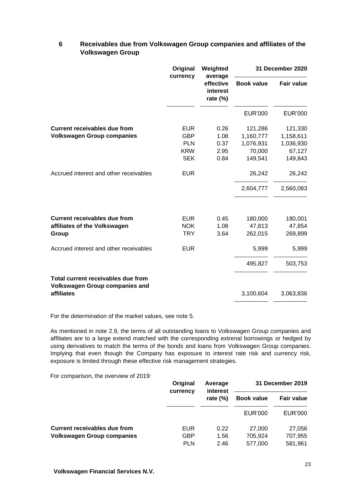## **6 Receivables due from Volkswagen Group companies and affiliates of the Volkswagen Group**

|                                                                             | Original<br>currency | Weighted                                        |                   | 31 December 2020  |
|-----------------------------------------------------------------------------|----------------------|-------------------------------------------------|-------------------|-------------------|
|                                                                             |                      | average<br>effective<br>interest<br>rate $(\%)$ | <b>Book value</b> | <b>Fair value</b> |
|                                                                             |                      |                                                 | <b>EUR'000</b>    | <b>EUR'000</b>    |
| <b>Current receivables due from</b>                                         | <b>EUR</b>           | 0.26                                            | 121,286           | 121,330           |
| <b>Volkswagen Group companies</b>                                           | <b>GBP</b>           | 1.08                                            | 1,160,777         | 1,158,611         |
|                                                                             | <b>PLN</b>           | 0.37                                            | 1,076,931         | 1,036,930         |
|                                                                             | <b>KRW</b>           | 2.95                                            | 70,000            | 67,127            |
|                                                                             | <b>SEK</b>           | 0.84                                            | 149,541           | 149,843           |
| Accrued interest and other receivables                                      | <b>EUR</b>           |                                                 | 26,242            | 26,242            |
|                                                                             |                      |                                                 | 2,604,777         | 2,560,083         |
| <b>Current receivables due from</b>                                         | <b>EUR</b>           | 0.45                                            | 180,000           | 180,001           |
| affiliates of the Volkswagen                                                | <b>NOK</b>           | 1.08                                            | 47,813            | 47,854            |
| Group                                                                       | <b>TRY</b>           | 3.64                                            | 262,015           | 269,899           |
| Accrued interest and other receivables                                      | <b>EUR</b>           |                                                 | 5,999             | 5,999             |
|                                                                             |                      |                                                 | 495,827           | 503,753           |
| Total current receivables due from<br><b>Volkswagen Group companies and</b> |                      |                                                 |                   |                   |
| affiliates                                                                  |                      |                                                 | 3,100,604         | 3,063,836         |

For the determination of the market values, see note 5.

As mentioned in note 2.9, the terms of all outstanding loans to Volkswagen Group companies and affiliates are to a large extend matched with the corresponding extrenal borrowings or hedged by using derivatives to match the terms of the bonds and loans from Volkswagen Group companies. Implying that even though the Company has exposure to interest rate risk and currency risk, exposure is limited through these effective risk management strategies.

For comparison, the overview of 2019:

|                                   | Original<br>currency | Average<br>interest |                    | 31 December 2019   |  |
|-----------------------------------|----------------------|---------------------|--------------------|--------------------|--|
|                                   |                      | rate $(\%)$         | <b>Book value</b>  | <b>Fair value</b>  |  |
|                                   |                      |                     | <b>EUR'000</b>     | EUR'000            |  |
| Current receivables due from      | EUR                  | 0.22                | 27,000             | 27,056             |  |
| <b>Volkswagen Group companies</b> | GBP<br><b>PLN</b>    | 1.56<br>2.46        | 705.924<br>577.000 | 707,955<br>581,961 |  |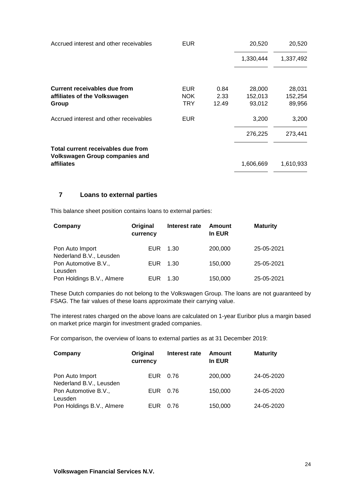| Accrued interest and other receivables                                      | <b>EUR</b>         |              | 20,520            | 20,520            |
|-----------------------------------------------------------------------------|--------------------|--------------|-------------------|-------------------|
|                                                                             |                    |              | 1,330,444         | 1,337,492         |
| Current receivables due from<br>affiliates of the Volkswagen                | <b>EUR</b><br>NOK. | 0.84<br>2.33 | 28,000<br>152,013 | 28,031<br>152,254 |
| Group                                                                       | <b>TRY</b>         | 12.49        | 93,012            | 89,956            |
| Accrued interest and other receivables                                      | <b>EUR</b>         |              | 3,200             | 3,200             |
|                                                                             |                    |              | 276,225           | 273,441           |
| Total current receivables due from<br><b>Volkswagen Group companies and</b> |                    |              |                   |                   |
| affiliates                                                                  |                    |              | 1,606,669         | 1,610,933         |

## **7 Loans to external parties**

This balance sheet position contains loans to external parties:

| Company                                    | Original<br>currency | Interest rate | Amount<br>In EUR | <b>Maturity</b> |
|--------------------------------------------|----------------------|---------------|------------------|-----------------|
| Pon Auto Import<br>Nederland B.V., Leusden | <b>EUR</b>           | 1.30          | 200,000          | 25-05-2021      |
| Pon Automotive B.V.,<br>Leusden            | <b>EUR</b>           | 1.30          | 150,000          | 25-05-2021      |
| Pon Holdings B.V., Almere                  | EUR                  | 1.30          | 150,000          | 25-05-2021      |

These Dutch companies do not belong to the Volkswagen Group. The loans are not guaranteed by FSAG. The fair values of these loans approximate their carrying value.

The interest rates charged on the above loans are calculated on 1-year Euribor plus a margin based on market price margin for investment graded companies.

For comparison, the overview of loans to external parties as at 31 December 2019:

| Company                                    | Original<br>currency | Interest rate | Amount<br>In EUR | <b>Maturity</b> |
|--------------------------------------------|----------------------|---------------|------------------|-----------------|
| Pon Auto Import<br>Nederland B.V., Leusden | EUR                  | 0.76          | 200,000          | 24-05-2020      |
| Pon Automotive B.V.,<br>Leusden            | <b>EUR</b>           | 0.76          | 150,000          | 24-05-2020      |
| Pon Holdings B.V., Almere                  | EUR                  | 0.76          | 150,000          | 24-05-2020      |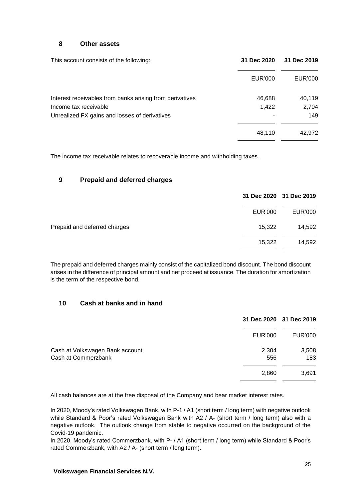#### **8 Other assets**

| This account consists of the following:                  | 31 Dec 2020 | 31 Dec 2019 |
|----------------------------------------------------------|-------------|-------------|
|                                                          | EUR'000     | EUR'000     |
| Interest receivables from banks arising from derivatives | 46,688      | 40,119      |
| Income tax receivable                                    | 1,422       | 2,704       |
| Unrealized FX gains and losses of derivatives            |             | 149         |
|                                                          | 48,110      | 42,972      |

The income tax receivable relates to recoverable income and withholding taxes.

## **9 Prepaid and deferred charges**

|                              | 31 Dec 2020 31 Dec 2019 |                |
|------------------------------|-------------------------|----------------|
|                              | <b>EUR'000</b>          | <b>EUR'000</b> |
| Prepaid and deferred charges | 15,322                  | 14,592         |
|                              | 15,322                  | 14,592         |
|                              |                         |                |

The prepaid and deferred charges mainly consist of the capitalized bond discount. The bond discount arises in the difference of principal amount and net proceed at issuance. The duration for amortization is the term of the respective bond.

## **10 Cash at banks and in hand**

|                                                        |              | 31 Dec 2020 31 Dec 2019 |
|--------------------------------------------------------|--------------|-------------------------|
|                                                        | EUR'000      | <b>EUR'000</b>          |
| Cash at Volkswagen Bank account<br>Cash at Commerzbank | 2,304<br>556 | 3,508<br>183            |
|                                                        | 2,860        | 3,691                   |

All cash balances are at the free disposal of the Company and bear market interest rates.

In 2020, Moody's rated Volkswagen Bank, with P-1 / A1 (short term / long term) with negative outlook while Standard & Poor's rated Volkswagen Bank with A2 / A- (short term / long term) also with a negative outlook. The outlook change from stable to negative occurred on the background of the Covid-19 pandemic.

In 2020, Moody's rated Commerzbank, with P- / A1 (short term / long term) while Standard & Poor's rated Commerzbank, with A2 / A- (short term / long term).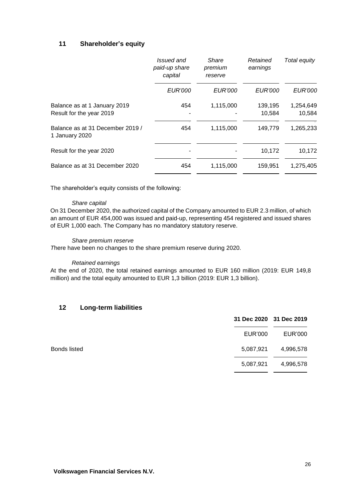## **11 Shareholder's equity**

|                                                          | Issued and<br>paid-up share<br>capital | Share<br>premium<br>reserve | Retained<br>earnings | Total equity        |
|----------------------------------------------------------|----------------------------------------|-----------------------------|----------------------|---------------------|
|                                                          | <b>EUR'000</b>                         | <b>EUR'000</b>              | <b>EUR'000</b>       | <b>EUR'000</b>      |
| Balance as at 1 January 2019<br>Result for the year 2019 | 454                                    | 1,115,000                   | 139,195<br>10.584    | 1,254,649<br>10,584 |
| Balance as at 31 December 2019 /<br>1 January 2020       | 454                                    | 1,115,000                   | 149,779              | 1,265,233           |
| Result for the year 2020                                 |                                        |                             | 10,172               | 10,172              |
| Balance as at 31 December 2020                           | 454                                    | 1,115,000                   | 159,951              | 1,275,405           |

The shareholder's equity consists of the following:

#### *Share capital*

On 31 December 2020, the authorized capital of the Company amounted to EUR 2.3 million, of which an amount of EUR 454,000 was issued and paid-up, representing 454 registered and issued shares of EUR 1,000 each. The Company has no mandatory statutory reserve.

#### *Share premium reserve*

*T*here have been no changes to the share premium reserve during 2020.

#### *Retained earnings*

At the end of 2020, the total retained earnings amounted to EUR 160 million (2019: EUR 149,8 million) and the total equity amounted to EUR 1,3 billion (2019: EUR 1,3 billion).

## **12 Long-term liabilities**

|              | 31 Dec 2020 31 Dec 2019 |           |
|--------------|-------------------------|-----------|
|              | EUR'000                 | EUR'000   |
| Bonds listed | 5,087,921               | 4,996,578 |
|              | 5,087,921               | 4,996,578 |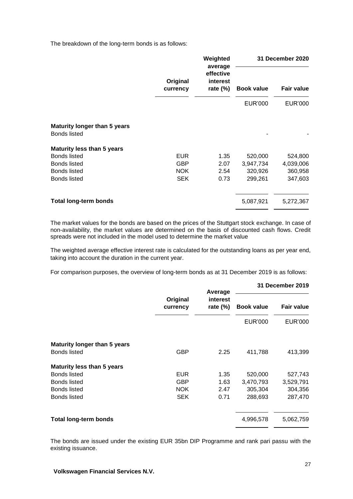The breakdown of the long-term bonds is as follows:

|                      | Weighted | <b>31 December 2020</b>              |                   |                   |
|----------------------|----------|--------------------------------------|-------------------|-------------------|
| Original<br>currency |          | effective<br>interest<br>rate $(\%)$ | <b>Book value</b> | <b>Fair value</b> |
|                      |          | <b>EUR'000</b>                       | <b>EUR'000</b>    |                   |
|                      |          |                                      |                   |                   |
|                      |          |                                      |                   |                   |
| <b>EUR</b>           | 1.35     | 520,000                              | 524,800           |                   |
| <b>GBP</b>           | 2.07     | 3,947,734                            | 4,039,006         |                   |
| NOK.                 | 2.54     | 320,926                              | 360,958           |                   |
| <b>SEK</b>           | 0.73     | 299,261                              | 347,603           |                   |
|                      |          | 5,087,921                            | 5,272,367         |                   |
|                      |          | average                              |                   |                   |

The market values for the bonds are based on the prices of the Stuttgart stock exchange. In case of non-availability, the market values are determined on the basis of discounted cash flows. Credit spreads were not included in the model used to determine the market value

The weighted average effective interest rate is calculated for the outstanding loans as per year end, taking into account the duration in the current year.

For comparison purposes, the overview of long-term bonds as at 31 December 2019 is as follows:

|                                     |                      | Average                 | 31 December 2019  |                   |
|-------------------------------------|----------------------|-------------------------|-------------------|-------------------|
|                                     | Original<br>currency | interest<br>rate $(\%)$ | <b>Book value</b> | <b>Fair value</b> |
|                                     |                      |                         | <b>EUR'000</b>    | EUR'000           |
| <b>Maturity longer than 5 years</b> |                      |                         |                   |                   |
| <b>Bonds listed</b>                 | <b>GBP</b>           | 2.25                    | 411,788           | 413,399           |
| <b>Maturity less than 5 years</b>   |                      |                         |                   |                   |
| <b>Bonds listed</b>                 | <b>EUR</b>           | 1.35                    | 520,000           | 527,743           |
| <b>Bonds listed</b>                 | <b>GBP</b>           | 1.63                    | 3,470,793         | 3,529,791         |
| <b>Bonds listed</b>                 | <b>NOK</b>           | 2.47                    | 305,304           | 304,356           |
| <b>Bonds listed</b>                 | <b>SEK</b>           | 0.71                    | 288,693           | 287,470           |
| <b>Total long-term bonds</b>        |                      |                         | 4,996,578         | 5,062,759         |

The bonds are issued under the existing EUR 35bn DIP Programme and rank pari passu with the existing issuance.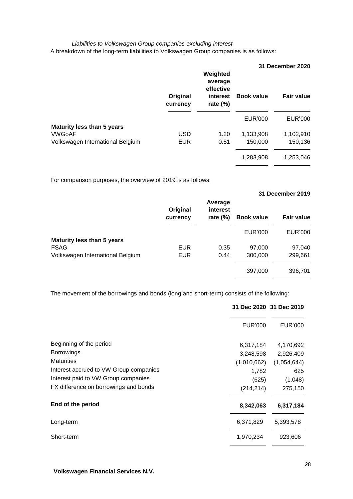#### *Liabilities to Volkswagen Group companies excluding interest* A breakdown of the long-term liabilities to Volkswagen Group companies is as follows:

|                                   |                      |                                                             |                   | 31 December 2020  |
|-----------------------------------|----------------------|-------------------------------------------------------------|-------------------|-------------------|
|                                   | Original<br>currency | Weighted<br>average<br>effective<br>interest<br>rate $(\%)$ | <b>Book value</b> | <b>Fair value</b> |
|                                   |                      |                                                             | EUR'000           | <b>EUR'000</b>    |
| <b>Maturity less than 5 years</b> |                      |                                                             |                   |                   |
| <b>VWGoAF</b>                     | <b>USD</b>           | 1.20                                                        | 1,133,908         | 1,102,910         |
| Volkswagen International Belgium  | <b>EUR</b>           | 0.51                                                        | 150,000           | 150,136           |
|                                   |                      |                                                             | 1,283,908         | 1,253,046         |

For comparison purposes, the overview of 2019 is as follows:

|                                   |                      |                                    |                   | 31 December 2019  |
|-----------------------------------|----------------------|------------------------------------|-------------------|-------------------|
|                                   | Original<br>currency | Average<br>interest<br>rate $(\%)$ | <b>Book value</b> | <b>Fair value</b> |
|                                   |                      |                                    | EUR'000           | <b>EUR'000</b>    |
| <b>Maturity less than 5 years</b> |                      |                                    |                   |                   |
| <b>FSAG</b>                       | <b>EUR</b>           | 0.35                               | 97,000            | 97,040            |
| Volkswagen International Belgium  | <b>EUR</b>           | 0.44                               | 300,000           | 299,661           |
|                                   |                      |                                    | 397,000           | 396,701           |

The movement of the borrowings and bonds (long and short-term) consists of the following:

|                                        |                | 31 Dec 2020 31 Dec 2019 |
|----------------------------------------|----------------|-------------------------|
|                                        | <b>EUR'000</b> | <b>EUR'000</b>          |
| Beginning of the period                | 6,317,184      | 4,170,692               |
| <b>Borrowings</b>                      | 3,248,598      | 2,926,409               |
| <b>Maturities</b>                      | (1,010,662)    | (1,054,644)             |
| Interest accrued to VW Group companies | 1,782          | 625                     |
| Interest paid to VW Group companies    | (625)          | (1,048)                 |
| FX difference on borrowings and bonds  | (214, 214)     | 275,150                 |
| End of the period                      | 8,342,063      | 6,317,184               |
| Long-term                              | 6,371,829      | 5,393,578               |
| Short-term                             | 1,970,234      | 923,606                 |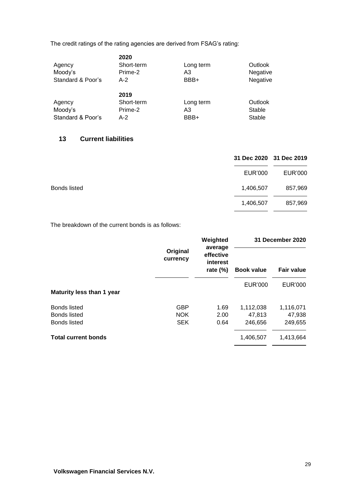The credit ratings of the rating agencies are derived from FSAG's rating:

| Outlook       |
|---------------|
| Negative      |
| Negative      |
|               |
|               |
| Outlook       |
| Stable        |
| <b>Stable</b> |
|               |

## **13 Current liabilities**

|              | 31 Dec 2020 31 Dec 2019 |         |
|--------------|-------------------------|---------|
|              | EUR'000                 | EUR'000 |
| Bonds listed | 1,406,507               | 857,969 |
|              | 1,406,507               | 857,969 |
|              |                         |         |

The breakdown of the current bonds is as follows:

|                            | Original<br>currency | Weighted                                        |                   | 31 December 2020  |  |
|----------------------------|----------------------|-------------------------------------------------|-------------------|-------------------|--|
|                            |                      | average<br>effective<br>interest<br>rate $(\%)$ | <b>Book value</b> | <b>Fair value</b> |  |
| Maturity less than 1 year  |                      |                                                 | <b>EUR'000</b>    | <b>EUR'000</b>    |  |
| <b>Bonds listed</b>        | <b>GBP</b>           | 1.69                                            | 1,112,038         | 1,116,071         |  |
| <b>Bonds listed</b>        | <b>NOK</b>           | 2.00                                            | 47,813            | 47,938            |  |
| <b>Bonds listed</b>        | <b>SEK</b>           | 0.64                                            | 246,656           | 249,655           |  |
| <b>Total current bonds</b> |                      |                                                 | 1,406,507         | 1,413,664         |  |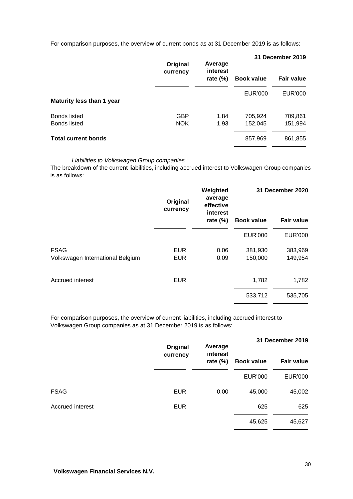For comparison purposes, the overview of current bonds as at 31 December 2019 is as follows:

|                                            | Original                 | Average                 | 31 December 2019   |                    |  |
|--------------------------------------------|--------------------------|-------------------------|--------------------|--------------------|--|
|                                            | currency                 | interest<br>rate $(\%)$ | <b>Book value</b>  | <b>Fair value</b>  |  |
| Maturity less than 1 year                  |                          |                         | <b>EUR'000</b>     | <b>EUR'000</b>     |  |
| <b>Bonds listed</b><br><b>Bonds listed</b> | <b>GBP</b><br><b>NOK</b> | 1.84<br>1.93            | 705,924<br>152,045 | 709,861<br>151,994 |  |
| <b>Total current bonds</b>                 |                          |                         | 857,969            | 861,855            |  |

#### *Liabilities to Volkswagen Group companies*

The breakdown of the current liabilities, including accrued interest to Volkswagen Group companies is as follows:

| Original<br>currency     | Weighted                                                  | 31 December 2020   |                    |
|--------------------------|-----------------------------------------------------------|--------------------|--------------------|
|                          | effective<br>interest<br><b>Book value</b><br>rate $(\%)$ | Fair value         |                    |
|                          |                                                           | <b>EUR'000</b>     | <b>EUR'000</b>     |
| <b>EUR</b><br><b>EUR</b> | 0.06<br>0.09                                              | 381,930<br>150,000 | 383,969<br>149,954 |
| <b>EUR</b>               |                                                           | 1,782              | 1,782              |
|                          |                                                           | 533,712            | 535,705            |
|                          |                                                           | average            |                    |

For comparison purposes, the overview of current liabilities, including accrued interest to Volkswagen Group companies as at 31 December 2019 is as follows:

|                  | Original<br>currency | Average<br>interest<br>rate $(\%)$ | 31 December 2019  |                   |
|------------------|----------------------|------------------------------------|-------------------|-------------------|
|                  |                      |                                    | <b>Book value</b> | <b>Fair value</b> |
|                  |                      |                                    | <b>EUR'000</b>    | <b>EUR'000</b>    |
| <b>FSAG</b>      | <b>EUR</b>           | 0.00                               | 45,000            | 45,002            |
| Accrued interest | <b>EUR</b>           |                                    | 625               | 625               |
|                  |                      |                                    | 45,625            | 45,627            |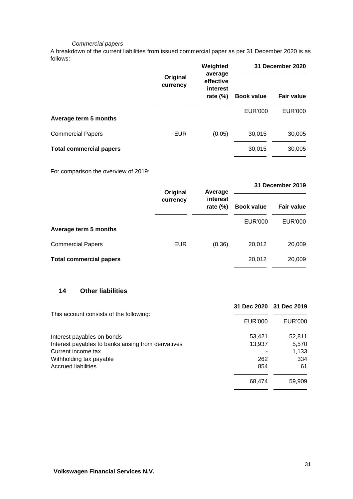#### *Commercial papers*

A breakdown of the current liabilities from issued commercial paper as per 31 December 2020 is as follows:

|                                |                      | Weighted<br>average                  | 31 December 2020  |                   |
|--------------------------------|----------------------|--------------------------------------|-------------------|-------------------|
|                                | Original<br>currency | effective<br>interest<br>rate $(\%)$ | <b>Book value</b> | <b>Fair value</b> |
| Average term 5 months          |                      |                                      | <b>EUR'000</b>    | <b>EUR'000</b>    |
| <b>Commercial Papers</b>       | <b>EUR</b>           | (0.05)                               | 30,015            | 30,005            |
| <b>Total commercial papers</b> |                      |                                      | 30,015            | 30,005            |

For comparison the overview of 2019:

|                                | Original   | Average                 | 31 December 2019  |                   |
|--------------------------------|------------|-------------------------|-------------------|-------------------|
|                                | currency   | interest<br>rate $(\%)$ | <b>Book value</b> | <b>Fair value</b> |
| Average term 5 months          |            |                         | <b>EUR'000</b>    | <b>EUR'000</b>    |
| <b>Commercial Papers</b>       | <b>EUR</b> | (0.36)                  | 20,012            | 20,009            |
| <b>Total commercial papers</b> |            |                         | 20,012            | 20,009            |

## **14 Other liabilities**

|                                                     | 31 Dec 2020 31 Dec 2019 |         |
|-----------------------------------------------------|-------------------------|---------|
| This account consists of the following:             | EUR'000                 | EUR'000 |
| Interest payables on bonds                          | 53,421                  | 52,811  |
| Interest payables to banks arising from derivatives | 13,937                  | 5,570   |
| Current income tax                                  |                         | 1,133   |
| Withholding tax payable                             | 262                     | 334     |
| <b>Accrued liabilities</b>                          | 854                     | 61      |
|                                                     | 68,474                  | 59.909  |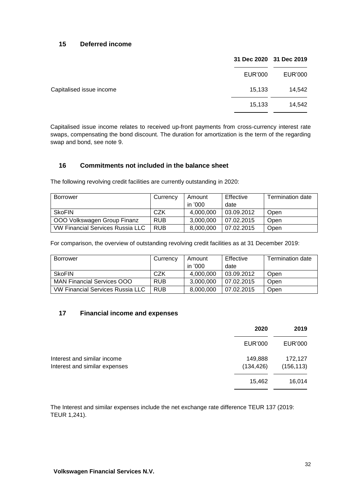## **15 Deferred income**

|                          |        | 31 Dec 2020 31 Dec 2019 |
|--------------------------|--------|-------------------------|
| EUR'000                  |        | EUR'000                 |
| Capitalised issue income | 15,133 | 14,542                  |
|                          | 15,133 | 14,542                  |

Capitalised issue income relates to received up-front payments from cross-currency interest rate swaps, compensating the bond discount. The duration for amortization is the term of the regarding swap and bond, see note 9.

## **16 Commitments not included in the balance sheet**

The following revolving credit facilities are currently outstanding in 2020:

| <b>Borrower</b>                  | Currency   | Amount    | Effective  | <b>Termination date</b> |
|----------------------------------|------------|-----------|------------|-------------------------|
|                                  |            | in '000   | date       |                         |
| <b>SkoFIN</b>                    | CZK        | 4.000.000 | 03.09.2012 | Open                    |
| OOO Volkswagen Group Finanz      | <b>RUB</b> | 3,000,000 | 07.02.2015 | Open                    |
| VW Financial Services Russia LLC | <b>RUB</b> | 8,000,000 | 07.02.2015 | Open                    |

For comparison, the overview of outstanding revolving credit facilities as at 31 December 2019:

| <b>Borrower</b>                   | Currency   | Amount    | Effective  | <b>Termination date</b> |
|-----------------------------------|------------|-----------|------------|-------------------------|
|                                   |            | in '000   | date       |                         |
| <b>SkoFIN</b>                     | CZK        | 4.000.000 | 03.09.2012 | Open                    |
| <b>MAN Financial Services OOO</b> | <b>RUB</b> | 3.000.000 | 07.02.2015 | Open                    |
| VW Financial Services Russia LLC  | <b>RUB</b> | 8,000,000 | 07.02.2015 | Open                    |

## **17 Financial income and expenses**

|                                                              | 2020                  | 2019                  |
|--------------------------------------------------------------|-----------------------|-----------------------|
|                                                              | EUR'000               | EUR'000               |
| Interest and similar income<br>Interest and similar expenses | 149,888<br>(134, 426) | 172,127<br>(156, 113) |
|                                                              | 15,462                | 16,014                |

The Interest and similar expenses include the net exchange rate difference TEUR 137 (2019: TEUR 1,241).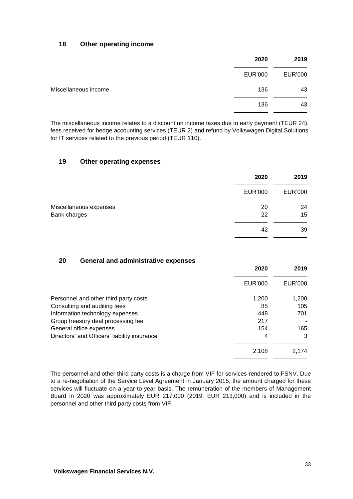#### **18 Other operating income**

|                      | 2020           | 2019    |
|----------------------|----------------|---------|
|                      | <b>EUR'000</b> | EUR'000 |
| Miscellaneous income | 136            | 43      |
|                      | 136            | 43      |

The miscellaneous income relates to a discount on income taxes due to early payment (TEUR 24), fees received for hedge accounting services (TEUR 2) and refund by Volkswagen Digital Solutions for IT services related to the previous period (TEUR 110).

#### **19 Other operating expenses**

|                                        | 2020           | 2019     |
|----------------------------------------|----------------|----------|
|                                        | <b>EUR'000</b> | EUR'000  |
| Miscellaneous expenses<br>Bank charges | 20<br>22       | 24<br>15 |
|                                        | 42             | 39       |

#### **20 General and administrative expenses**

|                                              | 2020           | 2019    |
|----------------------------------------------|----------------|---------|
|                                              | <b>EUR'000</b> | EUR'000 |
| Personnel and other third party costs        | 1,200          | 1,200   |
| Consulting and auditing fees                 | 85             | 105     |
| Information technology expenses              | 448            | 701     |
| Group treasury deal processing fee           | 217            |         |
| General office expenses                      | 154            | 165     |
| Directors' and Officers' liability insurance | 4              | 3       |
|                                              | 2,108          | 2,174   |

The personnel and other third party costs is a charge from VIF for services rendered to FSNV. Due to a re-negotiation of the Service Level Agreement in January 2015, the amount charged for these services will fluctuate on a year-to-year basis. The remuneration of the members of Management Board in 2020 was approximately EUR 217,000 (2019: EUR 213,000) and is included in the personnel and other third party costs from VIF.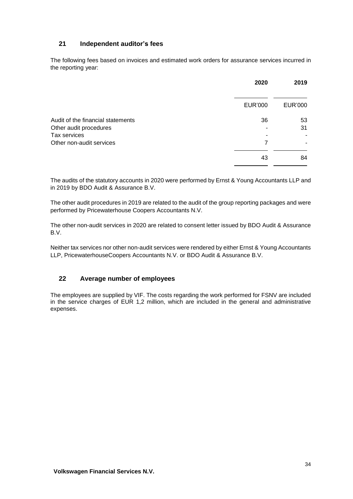## **21 Independent auditor's fees**

The following fees based on invoices and estimated work orders for assurance services incurred in the reporting year:

|                                                             | 2020           | 2019           |
|-------------------------------------------------------------|----------------|----------------|
|                                                             | <b>EUR'000</b> | <b>EUR'000</b> |
| Audit of the financial statements<br>Other audit procedures | 36             | 53<br>31       |
| Tax services<br>Other non-audit services                    | 7              |                |
|                                                             | 43             | 84             |

The audits of the statutory accounts in 2020 were performed by Ernst & Young Accountants LLP and in 2019 by BDO Audit & Assurance B.V.

The other audit procedures in 2019 are related to the audit of the group reporting packages and were performed by Pricewaterhouse Coopers Accountants N.V.

The other non-audit services in 2020 are related to consent letter issued by BDO Audit & Assurance B.V.

Neither tax services nor other non-audit services were rendered by either Ernst & Young Accountants LLP, PricewaterhouseCoopers Accountants N.V. or BDO Audit & Assurance B.V.

## **22 Average number of employees**

The employees are supplied by VIF. The costs regarding the work performed for FSNV are included in the service charges of EUR 1,2 million, which are included in the general and administrative expenses.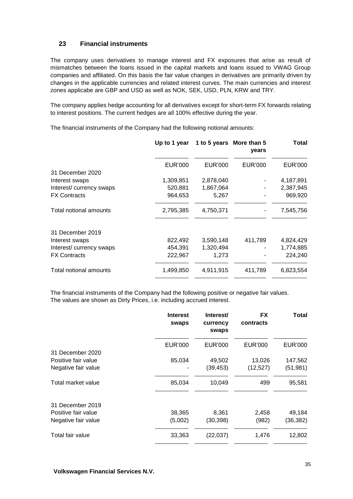## **23 Financial instruments**

The company uses derivatives to manage interest and FX exposures that arise as result of mismatches between the loans issued in the capital markets and loans issued to VWAG Group companies and affiliated. On this basis the fair value changes in derivatives are primarily driven by changes in the applicable currencies and related interest curves. The main currencies and interest zones applicabe are GBP and USD as well as NOK, SEK, USD, PLN, KRW and TRY.

The company applies hedge accounting for all derivatives except for short-term FX forwards relating to interest positions. The current hedges are all 100% effective during the year.

The financial instruments of the Company had the following notional amounts:

|                         |                | Up to 1 year 1 to 5 years More than 5 | years          | Total     |
|-------------------------|----------------|---------------------------------------|----------------|-----------|
|                         | <b>EUR'000</b> | EUR'000                               | <b>EUR'000</b> | EUR'000   |
| 31 December 2020        |                |                                       |                |           |
| Interest swaps          | 1,309,851      | 2,878,040                             |                | 4,187,891 |
| Interest/currency swaps | 520,881        | 1,867,064                             |                | 2,387,945 |
| <b>FX Contracts</b>     | 964,653        | 5,267                                 |                | 969,920   |
| Total notional amounts  | 2,795,385      | 4,750,371                             |                | 7,545,756 |
| 31 December 2019        |                |                                       |                |           |
| Interest swaps          | 822,492        | 3,590,148                             | 411,789        | 4,824,429 |
| Interest/currency swaps | 454,391        | 1,320,494                             |                | 1,774,885 |
| <b>FX Contracts</b>     | 222,967        | 1,273                                 |                | 224,240   |
| Total notional amounts  | 1,499,850      | 4,911,915                             | 411,789        | 6,823,554 |

The financial instruments of the Company had the following positive or negative fair values. The values are shown as Dirty Prices, i.e. including accrued interest.

|                     | <b>Interest</b><br>swaps | Interest/<br>currency<br>swaps | <b>FX</b><br>contracts | Total          |
|---------------------|--------------------------|--------------------------------|------------------------|----------------|
|                     | <b>EUR'000</b>           | <b>EUR'000</b>                 | EUR'000                | <b>EUR'000</b> |
| 31 December 2020    |                          |                                |                        |                |
| Positive fair value | 85,034                   | 49,502                         | 13,026                 | 147,562        |
| Negative fair value |                          | (39, 453)                      | (12, 527)              | (51, 981)      |
| Total market value  | 85,034                   | 10,049                         | 499                    | 95,581         |
| 31 December 2019    |                          |                                |                        |                |
| Positive fair value | 38,365                   | 8,361                          | 2,458                  | 49,184         |
| Negative fair value | (5,002)                  | (30, 398)                      | (982)                  | (36, 382)      |
| Total fair value    | 33,363                   | (22, 037)                      | 1,476                  | 12,802         |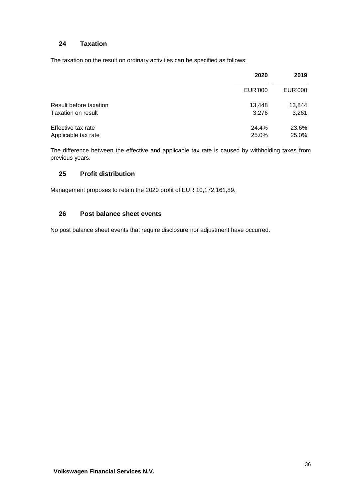## **24 Taxation**

The taxation on the result on ordinary activities can be specified as follows:

|                        | 2020    | 2019    |
|------------------------|---------|---------|
|                        | EUR'000 | EUR'000 |
| Result before taxation | 13.448  | 13,844  |
| Taxation on result     | 3.276   | 3,261   |
| Effective tax rate     | 24.4%   | 23.6%   |
| Applicable tax rate    | 25.0%   | 25.0%   |

The difference between the effective and applicable tax rate is caused by withholding taxes from previous years.

## **25 Profit distribution**

Management proposes to retain the 2020 profit of EUR 10,172,161,89.

#### **26 Post balance sheet events**

No post balance sheet events that require disclosure nor adjustment have occurred.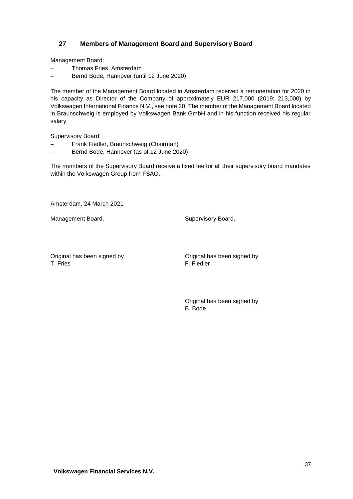## **27 Members of Management Board and Supervisory Board**

Management Board:

- Thomas Fries, Amsterdam
- Bernd Bode, Hannover (until 12 June 2020)

The member of the Management Board located in Amsterdam received a remuneration for 2020 in his capacity as Director of the Company of approximately EUR 217,000 (2019: 213,000) by Volkswagen International Finance N.V., see note 20. The member of the Management Board located in Braunschweig is employed by Volkswagen Bank GmbH and in his function received his regular salary.

Supervisory Board:

- Frank Fiedler, Braunschweig (Chairman)
- Bernd Bode, Hannover (as of 12 June 2020)

The members of the Supervisory Board receive a fixed fee for all their supervisory board mandates within the Volkswagen Group from FSAG..

Amsterdam, 24 March 2021

Management Board, Supervisory Board, Supervisory Board,

Original has been signed by Original has been signed by T. Fries F. Fiedler

Original has been signed by B. Bode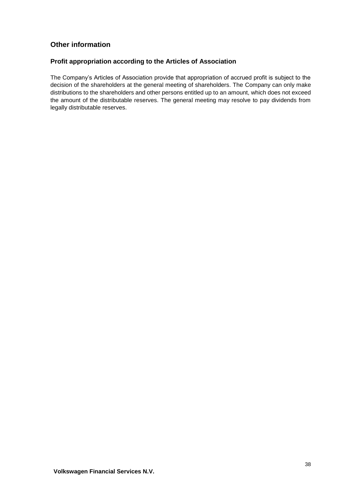## **Other information**

## **Profit appropriation according to the Articles of Association**

The Company's Articles of Association provide that appropriation of accrued profit is subject to the decision of the shareholders at the general meeting of shareholders. The Company can only make distributions to the shareholders and other persons entitled up to an amount, which does not exceed the amount of the distributable reserves. The general meeting may resolve to pay dividends from legally distributable reserves.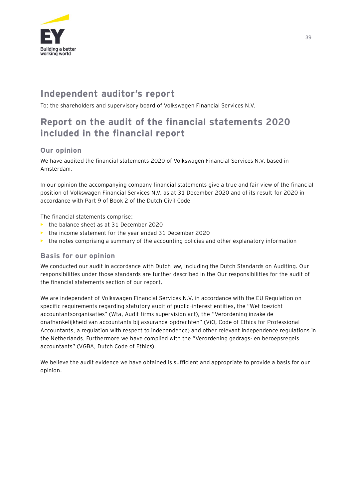

# **Independent auditor's report**

To: the shareholders and supervisory board of Volkswagen Financial Services N.V.

# **Report on the audit of the financial statements 2020 included in the financial report**

## **Our opinion**

We have audited the financial statements 2020 of Volkswagen Financial Services N.V. based in Amsterdam.

In our opinion the accompanying company financial statements give a true and fair view of the financial position of Volkswagen Financial Services N.V. as at 31 December 2020 and of its result for 2020 in accordance with Part 9 of Book 2 of the Dutch Civil Code

The financial statements comprise:

- **•** the balance sheet as at 31 December 2020
- **•** the income statement for the year ended 31 December 2020
- **•** the notes comprising a summary of the accounting policies and other explanatory information

## **Basis for our opinion**

We conducted our audit in accordance with Dutch law, including the Dutch Standards on Auditing. Our responsibilities under those standards are further described in the Our responsibilities for the audit of the financial statements section of our report.

We are independent of Volkswagen Financial Services N.V. in accordance with the EU Regulation on specific requirements regarding statutory audit of public-interest entities, the "Wet toezicht accountantsorganisaties" (Wta, Audit firms supervision act), the "Verordening inzake de onafhankelijkheid van accountants bij assurance-opdrachten" (ViO, Code of Ethics for Professional Accountants, a regulation with respect to independence) and other relevant independence regulations in the Netherlands. Furthermore we have complied with the "Verordening gedrags- en beroepsregels accountants" (VGBA, Dutch Code of Ethics).

We believe the audit evidence we have obtained is sufficient and appropriate to provide a basis for our opinion.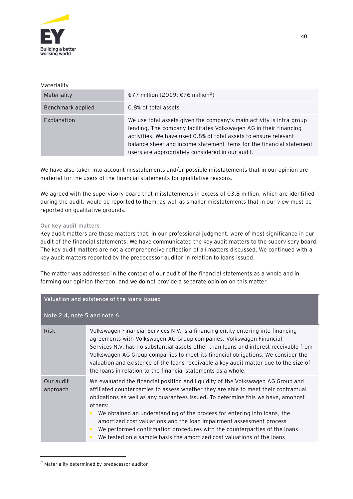

#### Materiality

| Materiality       | €77 million (2019: €76 million <sup>2</sup> )                                                                                                                                                                                                                                                                                             |
|-------------------|-------------------------------------------------------------------------------------------------------------------------------------------------------------------------------------------------------------------------------------------------------------------------------------------------------------------------------------------|
| Benchmark applied | 0.8% of total assets                                                                                                                                                                                                                                                                                                                      |
| Explanation       | We use total assets given the company's main activity is intra-group<br>lending. The company facilitates Volkswagen AG in their financing<br>activities. We have used 0.8% of total assets to ensure relevant<br>balance sheet and income statement items for the financial statement<br>users are appropriately considered in our audit. |

We have also taken into account misstatements and/or possible misstatements that in our opinion are material for the users of the financial statements for qualitative reasons.

We agreed with the supervisory board that misstatements in excess of  $\epsilon$ 3.8 million, which are identified during the audit, would be reported to them, as well as smaller misstatements that in our view must be reported on qualitative grounds.

#### Our key audit matters

Key audit matters are those matters that, in our professional judgment, were of most significance in our audit of the financial statements. We have communicated the key audit matters to the supervisory board. The key audit matters are not a comprehensive reflection of all matters discussed. We continued with a key audit matters reported by the predecessor auditor in relation to loans issued.

The matter was addressed in the context of our audit of the financial statements as a whole and in forming our opinion thereon, and we do not provide a separate opinion on this matter.

| Valuation and existence of the loans issued |                                                                                                                                                                                                                                                                                                                                                                                                                                                                                                                                                                                        |  |
|---------------------------------------------|----------------------------------------------------------------------------------------------------------------------------------------------------------------------------------------------------------------------------------------------------------------------------------------------------------------------------------------------------------------------------------------------------------------------------------------------------------------------------------------------------------------------------------------------------------------------------------------|--|
| Note 2.4, note 5 and note 6                 |                                                                                                                                                                                                                                                                                                                                                                                                                                                                                                                                                                                        |  |
| <b>Risk</b>                                 | Volkswagen Financial Services N.V. is a financing entity entering into financing<br>agreements with Volkswagen AG Group companies. Volkswagen Financial<br>Services N.V. has no substantial assets other than loans and interest receivable from<br>Volkswagen AG Group companies to meet its financial obligations. We consider the<br>valuation and existence of the loans receivable a key audit matter due to the size of<br>the loans in relation to the financial statements as a whole.                                                                                         |  |
| Our audit<br>approach                       | We evaluated the financial position and liquidity of the Volkswagen AG Group and<br>affiliated counterparties to assess whether they are able to meet their contractual<br>obligations as well as any guarantees issued. To determine this we have, amongst<br>others:<br>We obtained an understanding of the process for entering into loans, the<br>amortized cost valuations and the loan impairment assessment process<br>We performed confirmation procedures with the counterparties of the loans<br>We tested on a sample basis the amortized cost valuations of the loans<br>▶ |  |

<sup>2</sup> Materiality determined by predecessor auditor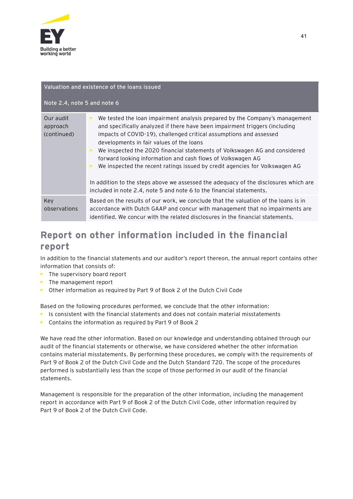

#### **Valuation and existence of the loans issued**

### **Note 2.4, note 5 and note 6**

| Our audit<br>approach<br>(continued) | We tested the loan impairment analysis prepared by the Company's management<br>▶<br>and specifically analyzed if there have been impairment triggers (including<br>impacts of COVID-19), challenged critical assumptions and assessed<br>developments in fair values of the loans<br>We inspected the 2020 financial statements of Volkswagen AG and considered<br>▶<br>forward looking information and cash flows of Volkswagen AG<br>We inspected the recent ratings issued by credit agencies for Volkswagen AG<br>In addition to the steps above we assessed the adequacy of the disclosures which are<br>included in note 2.4, note 5 and note 6 to the financial statements. |
|--------------------------------------|------------------------------------------------------------------------------------------------------------------------------------------------------------------------------------------------------------------------------------------------------------------------------------------------------------------------------------------------------------------------------------------------------------------------------------------------------------------------------------------------------------------------------------------------------------------------------------------------------------------------------------------------------------------------------------|
| Key<br>observations                  | Based on the results of our work, we conclude that the valuation of the loans is in<br>accordance with Dutch GAAP and concur with management that no impairments are<br>identified. We concur with the related disclosures in the financial statements.                                                                                                                                                                                                                                                                                                                                                                                                                            |

# **Report on other information included in the financial report**

In addition to the financial statements and our auditor's report thereon, the annual report contains other information that consists of:

- The supervisory board report
- **•** The management report
- **•** Other information as required by Part 9 of Book 2 of the Dutch Civil Code

Based on the following procedures performed, we conclude that the other information:

- **•** Is consistent with the financial statements and does not contain material misstatements
- **•** Contains the information as required by Part 9 of Book 2

We have read the other information. Based on our knowledge and understanding obtained through our audit of the financial statements or otherwise, we have considered whether the other information contains material misstatements. By performing these procedures, we comply with the requirements of Part 9 of Book 2 of the Dutch Civil Code and the Dutch Standard 720. The scope of the procedures performed is substantially less than the scope of those performed in our audit of the financial statements.

Management is responsible for the preparation of the other information, including the management report in accordance with Part 9 of Book 2 of the Dutch Civil Code, other information required by Part 9 of Book 2 of the Dutch Civil Code.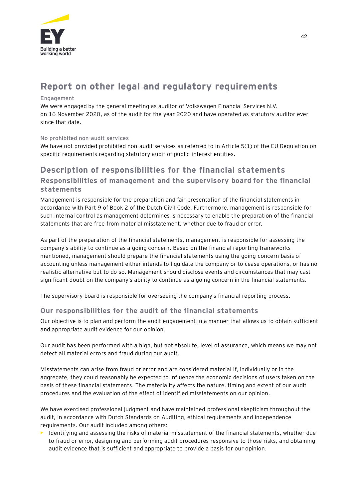

# **Report on other legal and regulatory requirements**

#### Engagement

We were engaged by the general meeting as auditor of Volkswagen Financial Services N.V. on 16 November 2020, as of the audit for the year 2020 and have operated as statutory auditor ever since that date.

#### No prohibited non-audit services

We have not provided prohibited non-audit services as referred to in Article 5(1) of the EU Regulation on specific requirements regarding statutory audit of public-interest entities.

# **Description of responsibilities for the financial statements**

## **Responsibilities of management and the supervisory board for the financial statements**

Management is responsible for the preparation and fair presentation of the financial statements in accordance with Part 9 of Book 2 of the Dutch Civil Code. Furthermore, management is responsible for such internal control as management determines is necessary to enable the preparation of the financial statements that are free from material misstatement, whether due to fraud or error.

As part of the preparation of the financial statements, management is responsible for assessing the company's ability to continue as a going concern. Based on the financial reporting frameworks mentioned, management should prepare the financial statements using the going concern basis of accounting unless management either intends to liquidate the company or to cease operations, or has no realistic alternative but to do so. Management should disclose events and circumstances that may cast significant doubt on the company's ability to continue as a going concern in the financial statements.

The supervisory board is responsible for overseeing the company's financial reporting process.

## **Our responsibilities for the audit of the financial statements**

Our objective is to plan and perform the audit engagement in a manner that allows us to obtain sufficient and appropriate audit evidence for our opinion.

Our audit has been performed with a high, but not absolute, level of assurance, which means we may not detect all material errors and fraud during our audit.

Misstatements can arise from fraud or error and are considered material if, individually or in the aggregate, they could reasonably be expected to influence the economic decisions of users taken on the basis of these financial statements. The materiality affects the nature, timing and extent of our audit procedures and the evaluation of the effect of identified misstatements on our opinion.

We have exercised professional judgment and have maintained professional skepticism throughout the audit, in accordance with Dutch Standards on Auditing, ethical requirements and independence requirements. Our audit included among others:

**•** Identifying and assessing the risks of material misstatement of the financial statements, whether due to fraud or error, designing and performing audit procedures responsive to those risks, and obtaining audit evidence that is sufficient and appropriate to provide a basis for our opinion.